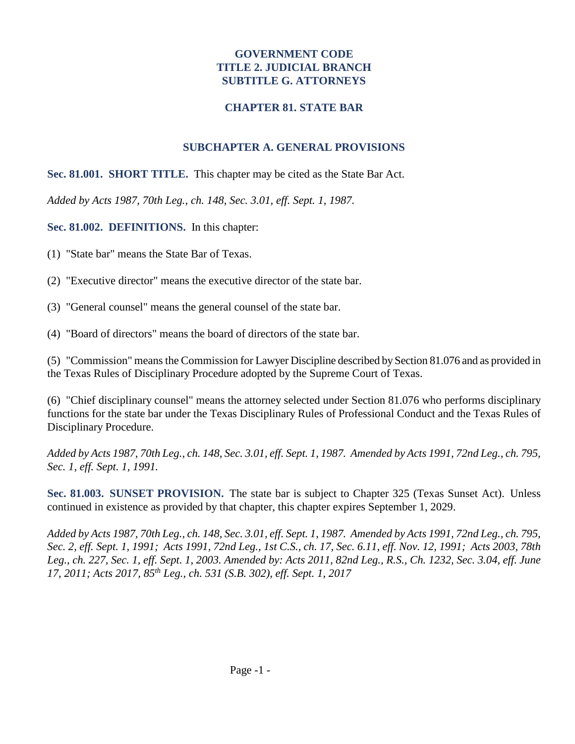#### **GOVERNMENT CODE TITLE 2. JUDICIAL BRANCH SUBTITLE G. ATTORNEYS**

#### **CHAPTER 81. STATE BAR**

## **SUBCHAPTER A. GENERAL PROVISIONS**

**Sec. 81.001. SHORT TITLE.** This chapter may be cited as the State Bar Act.

*Added by Acts 1987, 70th Leg., ch. 148, Sec. 3.01, eff. Sept. 1, 1987.* 

**Sec. 81.002. DEFINITIONS.** In this chapter:

(1) "State bar" means the State Bar of Texas.

- (2) "Executive director" means the executive director of the state bar.
- (3) "General counsel" means the general counsel of the state bar.
- (4) "Board of directors" means the board of directors of the state bar.

(5) "Commission" means the Commission for Lawyer Discipline described by Section 81.076 and as provided in the Texas Rules of Disciplinary Procedure adopted by the Supreme Court of Texas.

(6) "Chief disciplinary counsel" means the attorney selected under Section 81.076 who performs disciplinary functions for the state bar under the Texas Disciplinary Rules of Professional Conduct and the Texas Rules of Disciplinary Procedure.

*Added by Acts 1987, 70th Leg., ch. 148, Sec. 3.01, eff. Sept. 1, 1987. Amended by Acts 1991, 72nd Leg., ch. 795, Sec. 1, eff. Sept. 1, 1991.* 

**Sec. 81.003. SUNSET PROVISION.** The state bar is subject to Chapter 325 (Texas Sunset Act). Unless continued in existence as provided by that chapter, this chapter expires September 1, 2029.

*Added by Acts 1987, 70th Leg., ch. 148, Sec. 3.01, eff. Sept. 1, 1987. Amended by Acts 1991, 72nd Leg., ch. 795, Sec. 2, eff. Sept. 1, 1991; Acts 1991, 72nd Leg., 1st C.S., ch. 17, Sec. 6.11, eff. Nov. 12, 1991; Acts 2003, 78th Leg., ch. 227, Sec. 1, eff. Sept. 1, 2003. Amended by: Acts 2011, 82nd Leg., R.S., Ch. 1232, Sec. 3.04, eff. June 17, 2011; Acts 2017, 85th Leg., ch. 531 (S.B. 302), eff. Sept. 1, 2017*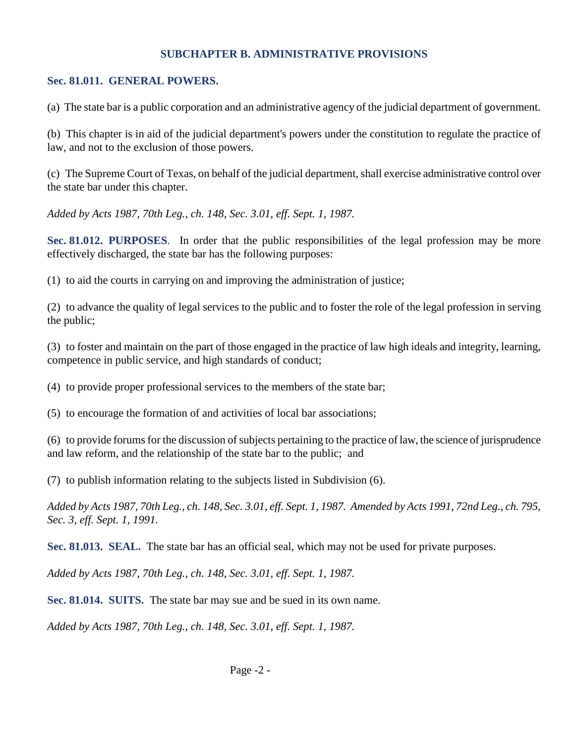#### **SUBCHAPTER B. ADMINISTRATIVE PROVISIONS**

#### **Sec. 81.011. GENERAL POWERS.**

(a) The state bar is a public corporation and an administrative agency of the judicial department of government.

(b) This chapter is in aid of the judicial department's powers under the constitution to regulate the practice of law, and not to the exclusion of those powers.

(c) The Supreme Court of Texas, on behalf of the judicial department, shall exercise administrative control over the state bar under this chapter.

*Added by Acts 1987, 70th Leg., ch. 148, Sec. 3.01, eff. Sept. 1, 1987.* 

**Sec. 81.012. PURPOSES**. In order that the public responsibilities of the legal profession may be more effectively discharged, the state bar has the following purposes:

(1) to aid the courts in carrying on and improving the administration of justice;

(2) to advance the quality of legal services to the public and to foster the role of the legal profession in serving the public;

(3) to foster and maintain on the part of those engaged in the practice of law high ideals and integrity, learning, competence in public service, and high standards of conduct;

(4) to provide proper professional services to the members of the state bar;

(5) to encourage the formation of and activities of local bar associations;

(6) to provide forums for the discussion of subjects pertaining to the practice of law, the science of jurisprudence and law reform, and the relationship of the state bar to the public; and

(7) to publish information relating to the subjects listed in Subdivision (6).

*Added by Acts 1987, 70th Leg., ch. 148, Sec. 3.01, eff. Sept. 1, 1987. Amended by Acts 1991, 72nd Leg., ch. 795, Sec. 3, eff. Sept. 1, 1991.* 

**Sec. 81.013. SEAL.** The state bar has an official seal, which may not be used for private purposes.

*Added by Acts 1987, 70th Leg., ch. 148, Sec. 3.01, eff. Sept. 1, 1987.* 

**Sec. 81.014. SUITS.** The state bar may sue and be sued in its own name.

*Added by Acts 1987, 70th Leg., ch. 148, Sec. 3.01, eff. Sept. 1, 1987.*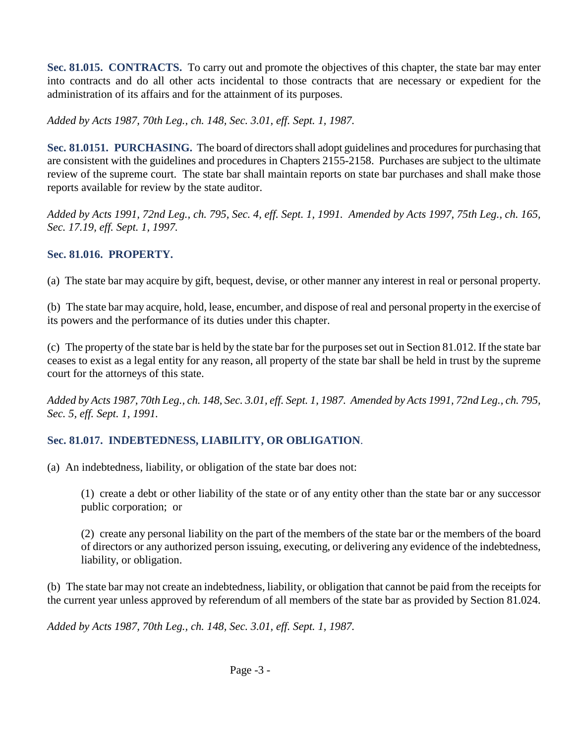**Sec. 81.015. CONTRACTS.** To carry out and promote the objectives of this chapter, the state bar may enter into contracts and do all other acts incidental to those contracts that are necessary or expedient for the administration of its affairs and for the attainment of its purposes.

*Added by Acts 1987, 70th Leg., ch. 148, Sec. 3.01, eff. Sept. 1, 1987.* 

**Sec. 81.0151. PURCHASING.** The board of directors shall adopt guidelines and procedures for purchasing that are consistent with the guidelines and procedures in Chapters 2155-2158. Purchases are subject to the ultimate review of the supreme court. The state bar shall maintain reports on state bar purchases and shall make those reports available for review by the state auditor.

*Added by Acts 1991, 72nd Leg., ch. 795, Sec. 4, eff. Sept. 1, 1991. Amended by Acts 1997, 75th Leg., ch. 165, Sec. 17.19, eff. Sept. 1, 1997.* 

#### **Sec. 81.016. PROPERTY.**

(a) The state bar may acquire by gift, bequest, devise, or other manner any interest in real or personal property.

(b) The state bar may acquire, hold, lease, encumber, and dispose of real and personal property in the exercise of its powers and the performance of its duties under this chapter.

(c) The property of the state bar is held by the state bar for the purposes set out in Section 81.012. If the state bar ceases to exist as a legal entity for any reason, all property of the state bar shall be held in trust by the supreme court for the attorneys of this state.

*Added by Acts 1987, 70th Leg., ch. 148, Sec. 3.01, eff. Sept. 1, 1987. Amended by Acts 1991, 72nd Leg., ch. 795, Sec. 5, eff. Sept. 1, 1991.* 

## **Sec. 81.017. INDEBTEDNESS, LIABILITY, OR OBLIGATION**.

(a) An indebtedness, liability, or obligation of the state bar does not:

(1) create a debt or other liability of the state or of any entity other than the state bar or any successor public corporation; or

(2) create any personal liability on the part of the members of the state bar or the members of the board of directors or any authorized person issuing, executing, or delivering any evidence of the indebtedness, liability, or obligation.

(b) The state bar may not create an indebtedness, liability, or obligation that cannot be paid from the receipts for the current year unless approved by referendum of all members of the state bar as provided by Section 81.024.

*Added by Acts 1987, 70th Leg., ch. 148, Sec. 3.01, eff. Sept. 1, 1987.*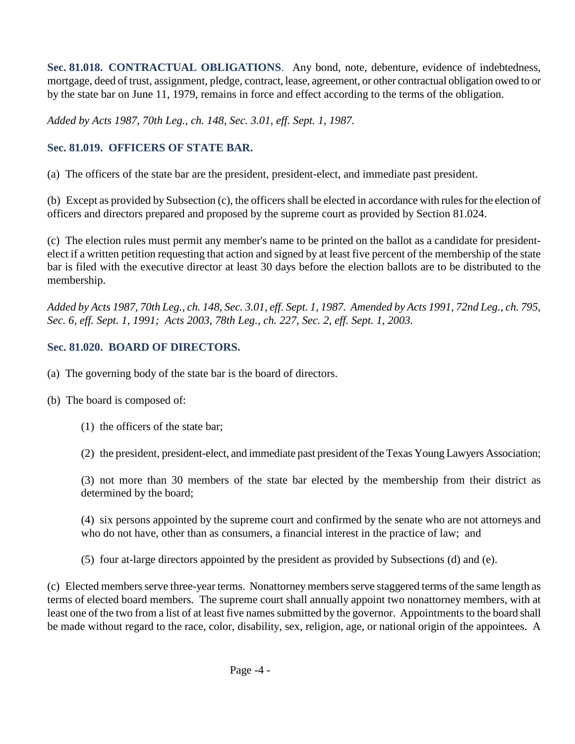**Sec. 81.018. CONTRACTUAL OBLIGATIONS**. Any bond, note, debenture, evidence of indebtedness, mortgage, deed of trust, assignment, pledge, contract, lease, agreement, or other contractual obligation owed to or by the state bar on June 11, 1979, remains in force and effect according to the terms of the obligation.

*Added by Acts 1987, 70th Leg., ch. 148, Sec. 3.01, eff. Sept. 1, 1987.* 

## **Sec. 81.019. OFFICERS OF STATE BAR.**

(a) The officers of the state bar are the president, president-elect, and immediate past president.

(b) Except as provided by Subsection (c), the officers shall be elected in accordance with rules for the election of officers and directors prepared and proposed by the supreme court as provided by Section 81.024.

(c) The election rules must permit any member's name to be printed on the ballot as a candidate for presidentelect if a written petition requesting that action and signed by at least five percent of the membership of the state bar is filed with the executive director at least 30 days before the election ballots are to be distributed to the membership.

*Added by Acts 1987, 70th Leg., ch. 148, Sec. 3.01, eff. Sept. 1, 1987. Amended by Acts 1991, 72nd Leg., ch. 795, Sec. 6, eff. Sept. 1, 1991; Acts 2003, 78th Leg., ch. 227, Sec. 2, eff. Sept. 1, 2003.* 

## **Sec. 81.020. BOARD OF DIRECTORS.**

- (a) The governing body of the state bar is the board of directors.
- (b) The board is composed of:
	- (1) the officers of the state bar;

(2) the president, president-elect, and immediate past president of the Texas Young Lawyers Association;

(3) not more than 30 members of the state bar elected by the membership from their district as determined by the board;

(4) six persons appointed by the supreme court and confirmed by the senate who are not attorneys and who do not have, other than as consumers, a financial interest in the practice of law; and

(5) four at-large directors appointed by the president as provided by Subsections (d) and (e).

(c) Elected members serve three-year terms. Nonattorney members serve staggered terms of the same length as terms of elected board members. The supreme court shall annually appoint two nonattorney members, with at least one of the two from a list of at least five names submitted by the governor. Appointments to the board shall be made without regard to the race, color, disability, sex, religion, age, or national origin of the appointees. A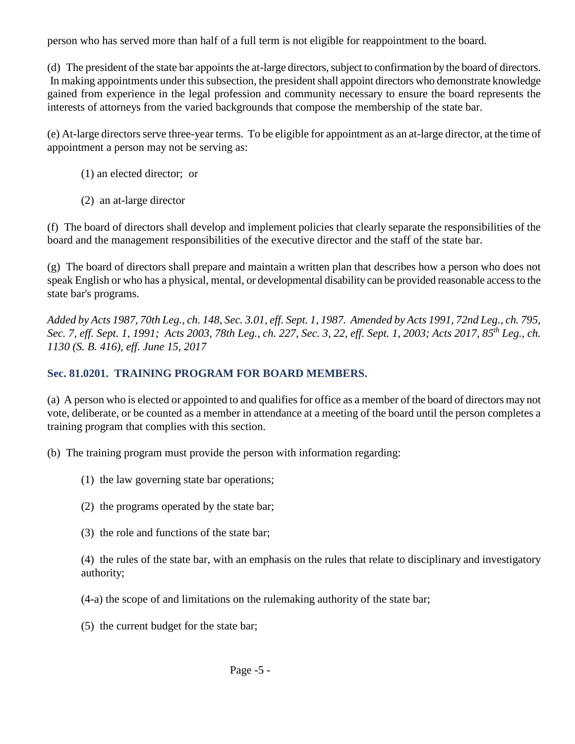person who has served more than half of a full term is not eligible for reappointment to the board.

(d) The president of the state bar appoints the at-large directors, subject to confirmation by the board of directors. In making appointments under this subsection, the president shall appoint directors who demonstrate knowledge gained from experience in the legal profession and community necessary to ensure the board represents the interests of attorneys from the varied backgrounds that compose the membership of the state bar.

(e) At-large directors serve three-year terms. To be eligible for appointment as an at-large director, at the time of appointment a person may not be serving as:

- (1) an elected director; or
- (2) an at-large director

(f) The board of directors shall develop and implement policies that clearly separate the responsibilities of the board and the management responsibilities of the executive director and the staff of the state bar.

(g) The board of directors shall prepare and maintain a written plan that describes how a person who does not speak English or who has a physical, mental, or developmental disability can be provided reasonable access to the state bar's programs.

*Added by Acts 1987, 70th Leg., ch. 148, Sec. 3.01, eff. Sept. 1, 1987. Amended by Acts 1991, 72nd Leg., ch. 795, Sec. 7, eff. Sept. 1, 1991; Acts 2003, 78th Leg., ch. 227, Sec. 3, 22, eff. Sept. 1, 2003; Acts 2017, 85th Leg., ch. 1130 (S. B. 416), eff. June 15, 2017* 

## **Sec. 81.0201. TRAINING PROGRAM FOR BOARD MEMBERS.**

(a) A person who is elected or appointed to and qualifies for office as a member of the board of directors may not vote, deliberate, or be counted as a member in attendance at a meeting of the board until the person completes a training program that complies with this section.

(b) The training program must provide the person with information regarding:

- (1) the law governing state bar operations;
- (2) the programs operated by the state bar;
- (3) the role and functions of the state bar;

(4) the rules of the state bar, with an emphasis on the rules that relate to disciplinary and investigatory authority;

(4-a) the scope of and limitations on the rulemaking authority of the state bar;

(5) the current budget for the state bar;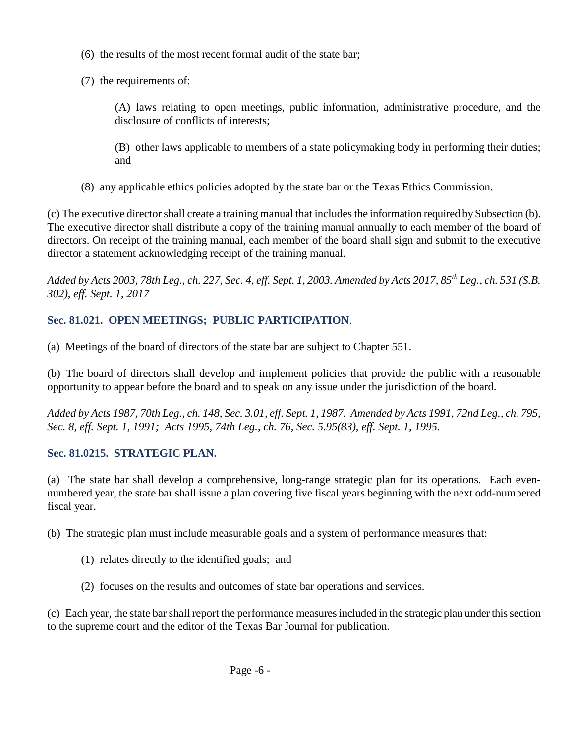- (6) the results of the most recent formal audit of the state bar;
- (7) the requirements of:
	- (A) laws relating to open meetings, public information, administrative procedure, and the disclosure of conflicts of interests;
	- (B) other laws applicable to members of a state policymaking body in performing their duties; and
- (8) any applicable ethics policies adopted by the state bar or the Texas Ethics Commission.

(c) The executive director shall create a training manual that includes the information required by Subsection (b). The executive director shall distribute a copy of the training manual annually to each member of the board of directors. On receipt of the training manual, each member of the board shall sign and submit to the executive director a statement acknowledging receipt of the training manual.

*Added by Acts 2003, 78th Leg., ch. 227, Sec. 4, eff. Sept. 1, 2003. Amended by Acts 2017, 85th Leg., ch. 531 (S.B. 302), eff. Sept. 1, 2017* 

# **Sec. 81.021. OPEN MEETINGS; PUBLIC PARTICIPATION**.

(a) Meetings of the board of directors of the state bar are subject to Chapter 551.

(b) The board of directors shall develop and implement policies that provide the public with a reasonable opportunity to appear before the board and to speak on any issue under the jurisdiction of the board.

*Added by Acts 1987, 70th Leg., ch. 148, Sec. 3.01, eff. Sept. 1, 1987. Amended by Acts 1991, 72nd Leg., ch. 795, Sec. 8, eff. Sept. 1, 1991; Acts 1995, 74th Leg., ch. 76, Sec. 5.95(83), eff. Sept. 1, 1995.* 

## **Sec. 81.0215. STRATEGIC PLAN.**

(a) The state bar shall develop a comprehensive, long-range strategic plan for its operations. Each evennumbered year, the state bar shall issue a plan covering five fiscal years beginning with the next odd-numbered fiscal year.

(b) The strategic plan must include measurable goals and a system of performance measures that:

- (1) relates directly to the identified goals; and
- (2) focuses on the results and outcomes of state bar operations and services.

(c) Each year, the state bar shall report the performance measures included in the strategic plan under this section to the supreme court and the editor of the Texas Bar Journal for publication.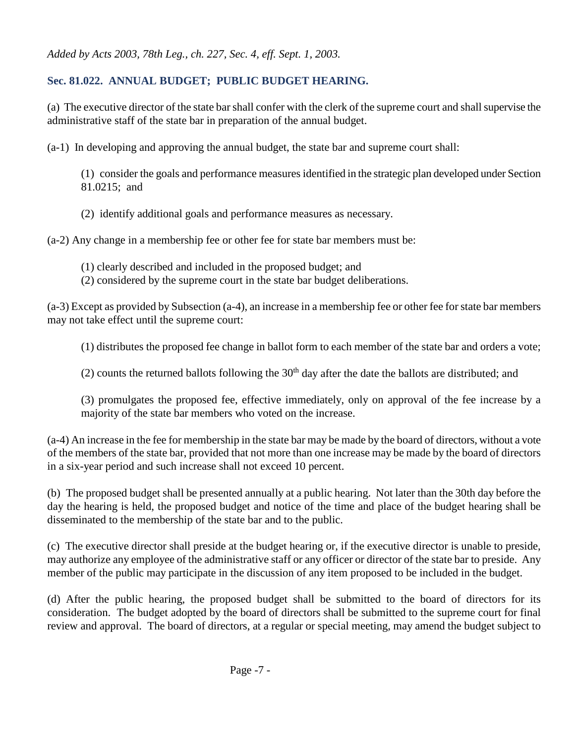### **Sec. 81.022. ANNUAL BUDGET; PUBLIC BUDGET HEARING.**

(a) The executive director of the state bar shall confer with the clerk of the supreme court and shall supervise the administrative staff of the state bar in preparation of the annual budget.

(a-1) In developing and approving the annual budget, the state bar and supreme court shall:

(1) consider the goals and performance measures identified in the strategic plan developed under Section 81.0215; and

(2) identify additional goals and performance measures as necessary.

(a-2) Any change in a membership fee or other fee for state bar members must be:

- (1) clearly described and included in the proposed budget; and
- (2) considered by the supreme court in the state bar budget deliberations.

(a-3) Except as provided by Subsection (a-4), an increase in a membership fee or other fee for state bar members may not take effect until the supreme court:

(1) distributes the proposed fee change in ballot form to each member of the state bar and orders a vote;

(2) counts the returned ballots following the  $30<sup>th</sup>$  day after the date the ballots are distributed; and

(3) promulgates the proposed fee, effective immediately, only on approval of the fee increase by a majority of the state bar members who voted on the increase.

(a-4) An increase in the fee for membership in the state bar may be made by the board of directors, without a vote of the members of the state bar, provided that not more than one increase may be made by the board of directors in a six-year period and such increase shall not exceed 10 percent.

(b) The proposed budget shall be presented annually at a public hearing. Not later than the 30th day before the day the hearing is held, the proposed budget and notice of the time and place of the budget hearing shall be disseminated to the membership of the state bar and to the public.

(c) The executive director shall preside at the budget hearing or, if the executive director is unable to preside, may authorize any employee of the administrative staff or any officer or director of the state bar to preside. Any member of the public may participate in the discussion of any item proposed to be included in the budget.

(d) After the public hearing, the proposed budget shall be submitted to the board of directors for its consideration. The budget adopted by the board of directors shall be submitted to the supreme court for final review and approval. The board of directors, at a regular or special meeting, may amend the budget subject to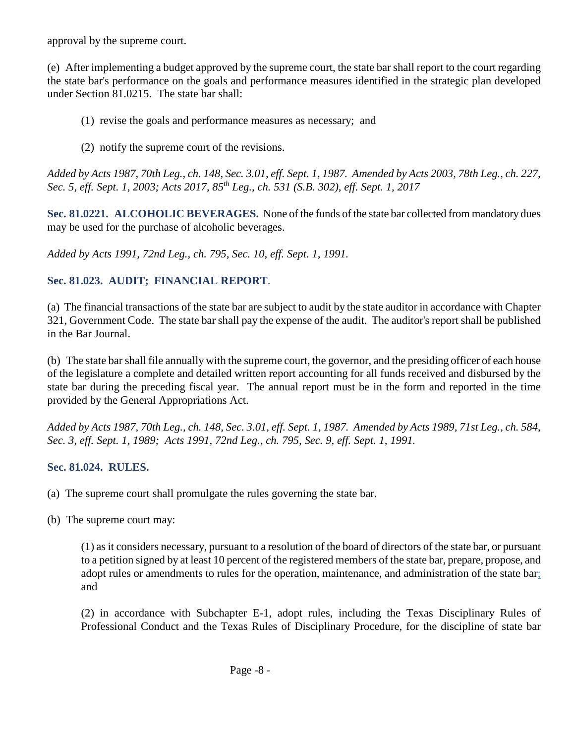approval by the supreme court.

(e) After implementing a budget approved by the supreme court, the state bar shall report to the court regarding the state bar's performance on the goals and performance measures identified in the strategic plan developed under Section 81.0215. The state bar shall:

- (1) revise the goals and performance measures as necessary; and
- (2) notify the supreme court of the revisions.

*Added by Acts 1987, 70th Leg., ch. 148, Sec. 3.01, eff. Sept. 1, 1987. Amended by Acts 2003, 78th Leg., ch. 227, Sec. 5, eff. Sept. 1, 2003; Acts 2017, 85th Leg., ch. 531 (S.B. 302), eff. Sept. 1, 2017* 

**Sec. 81.0221. ALCOHOLIC BEVERAGES.** None of the funds of the state bar collected from mandatory dues may be used for the purchase of alcoholic beverages.

*Added by Acts 1991, 72nd Leg., ch. 795, Sec. 10, eff. Sept. 1, 1991.* 

#### **Sec. 81.023. AUDIT; FINANCIAL REPORT**.

(a) The financial transactions of the state bar are subject to audit by the state auditor in accordance with Chapter 321, Government Code. The state bar shall pay the expense of the audit. The auditor's report shall be published in the Bar Journal.

(b) The state bar shall file annually with the supreme court, the governor, and the presiding officer of each house of the legislature a complete and detailed written report accounting for all funds received and disbursed by the state bar during the preceding fiscal year. The annual report must be in the form and reported in the time provided by the General Appropriations Act.

*Added by Acts 1987, 70th Leg., ch. 148, Sec. 3.01, eff. Sept. 1, 1987. Amended by Acts 1989, 71st Leg., ch. 584, Sec. 3, eff. Sept. 1, 1989; Acts 1991, 72nd Leg., ch. 795, Sec. 9, eff. Sept. 1, 1991.* 

#### **Sec. 81.024. RULES.**

- (a) The supreme court shall promulgate the rules governing the state bar.
- (b) The supreme court may:

(1) as it considers necessary, pursuant to a resolution of the board of directors of the state bar, or pursuant to a petition signed by at least 10 percent of the registered members of the state bar, prepare, propose, and adopt rules or amendments to rules for the operation, maintenance, and administration of the state bar; and

(2) in accordance with Subchapter E-1, adopt rules, including the Texas Disciplinary Rules of Professional Conduct and the Texas Rules of Disciplinary Procedure, for the discipline of state bar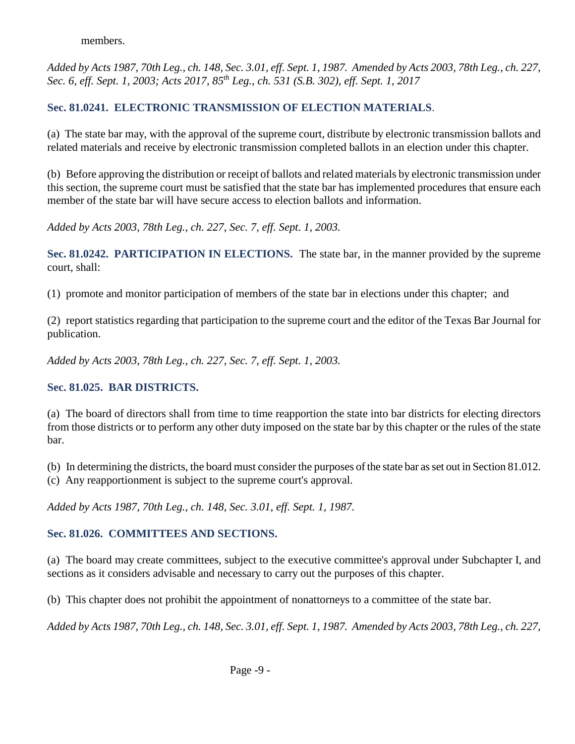members.

*Added by Acts 1987, 70th Leg., ch. 148, Sec. 3.01, eff. Sept. 1, 1987. Amended by Acts 2003, 78th Leg., ch. 227, Sec. 6, eff. Sept. 1, 2003; Acts 2017, 85th Leg., ch. 531 (S.B. 302), eff. Sept. 1, 2017* 

## **Sec. 81.0241. ELECTRONIC TRANSMISSION OF ELECTION MATERIALS**.

(a) The state bar may, with the approval of the supreme court, distribute by electronic transmission ballots and related materials and receive by electronic transmission completed ballots in an election under this chapter.

(b) Before approving the distribution or receipt of ballots and related materials by electronic transmission under this section, the supreme court must be satisfied that the state bar has implemented procedures that ensure each member of the state bar will have secure access to election ballots and information.

*Added by Acts 2003, 78th Leg., ch. 227, Sec. 7, eff. Sept. 1, 2003.* 

**Sec. 81.0242. PARTICIPATION IN ELECTIONS.** The state bar, in the manner provided by the supreme court, shall:

(1) promote and monitor participation of members of the state bar in elections under this chapter; and

(2) report statistics regarding that participation to the supreme court and the editor of the Texas Bar Journal for publication.

*Added by Acts 2003, 78th Leg., ch. 227, Sec. 7, eff. Sept. 1, 2003.* 

#### **Sec. 81.025. BAR DISTRICTS.**

(a) The board of directors shall from time to time reapportion the state into bar districts for electing directors from those districts or to perform any other duty imposed on the state bar by this chapter or the rules of the state bar.

(b) In determining the districts, the board must consider the purposes of the state bar as set out in Section 81.012.

(c) Any reapportionment is subject to the supreme court's approval.

*Added by Acts 1987, 70th Leg., ch. 148, Sec. 3.01, eff. Sept. 1, 1987.* 

#### **Sec. 81.026. COMMITTEES AND SECTIONS.**

(a) The board may create committees, subject to the executive committee's approval under Subchapter I, and sections as it considers advisable and necessary to carry out the purposes of this chapter.

(b) This chapter does not prohibit the appointment of nonattorneys to a committee of the state bar.

*Added by Acts 1987, 70th Leg., ch. 148, Sec. 3.01, eff. Sept. 1, 1987. Amended by Acts 2003, 78th Leg., ch. 227,*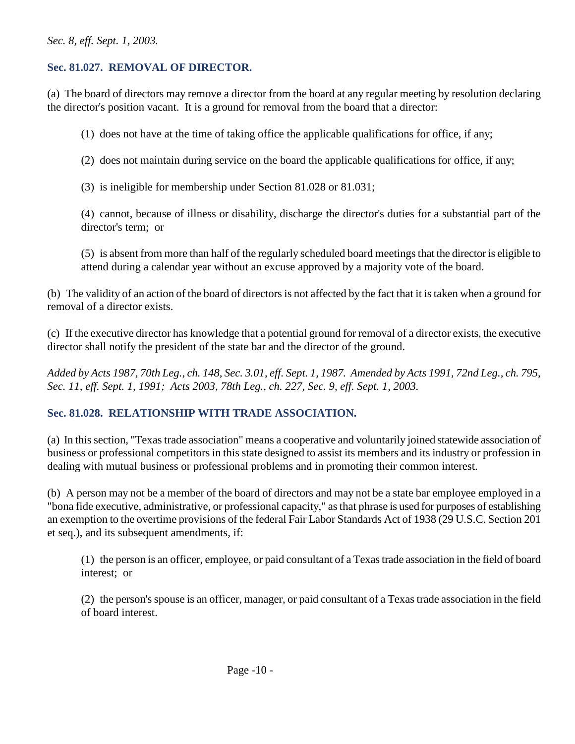#### *Sec. 8, eff. Sept. 1, 2003.*

#### **Sec. 81.027. REMOVAL OF DIRECTOR.**

(a) The board of directors may remove a director from the board at any regular meeting by resolution declaring the director's position vacant. It is a ground for removal from the board that a director:

(1) does not have at the time of taking office the applicable qualifications for office, if any;

(2) does not maintain during service on the board the applicable qualifications for office, if any;

(3) is ineligible for membership under Section 81.028 or 81.031;

(4) cannot, because of illness or disability, discharge the director's duties for a substantial part of the director's term; or

(5) is absent from more than half of the regularly scheduled board meetings that the director is eligible to attend during a calendar year without an excuse approved by a majority vote of the board.

(b) The validity of an action of the board of directors is not affected by the fact that it is taken when a ground for removal of a director exists.

(c) If the executive director has knowledge that a potential ground for removal of a director exists, the executive director shall notify the president of the state bar and the director of the ground.

*Added by Acts 1987, 70th Leg., ch. 148, Sec. 3.01, eff. Sept. 1, 1987. Amended by Acts 1991, 72nd Leg., ch. 795, Sec. 11, eff. Sept. 1, 1991; Acts 2003, 78th Leg., ch. 227, Sec. 9, eff. Sept. 1, 2003.* 

#### **Sec. 81.028. RELATIONSHIP WITH TRADE ASSOCIATION.**

(a) In this section, "Texas trade association" means a cooperative and voluntarily joined statewide association of business or professional competitors in this state designed to assist its members and its industry or profession in dealing with mutual business or professional problems and in promoting their common interest.

(b) A person may not be a member of the board of directors and may not be a state bar employee employed in a "bona fide executive, administrative, or professional capacity," as that phrase is used for purposes of establishing an exemption to the overtime provisions of the federal Fair Labor Standards Act of 1938 (29 U.S.C. Section 201 et seq.), and its subsequent amendments, if:

(1) the person is an officer, employee, or paid consultant of a Texas trade association in the field of board interest; or

(2) the person's spouse is an officer, manager, or paid consultant of a Texas trade association in the field of board interest.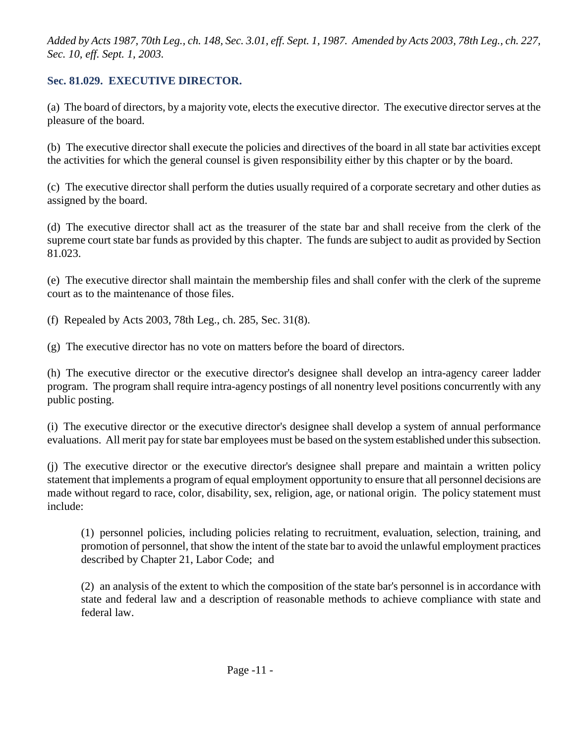*Added by Acts 1987, 70th Leg., ch. 148, Sec. 3.01, eff. Sept. 1, 1987. Amended by Acts 2003, 78th Leg., ch. 227, Sec. 10, eff. Sept. 1, 2003.* 

#### **Sec. 81.029. EXECUTIVE DIRECTOR.**

(a) The board of directors, by a majority vote, elects the executive director. The executive director serves at the pleasure of the board.

(b) The executive director shall execute the policies and directives of the board in all state bar activities except the activities for which the general counsel is given responsibility either by this chapter or by the board.

(c) The executive director shall perform the duties usually required of a corporate secretary and other duties as assigned by the board.

(d) The executive director shall act as the treasurer of the state bar and shall receive from the clerk of the supreme court state bar funds as provided by this chapter. The funds are subject to audit as provided by Section 81.023.

(e) The executive director shall maintain the membership files and shall confer with the clerk of the supreme court as to the maintenance of those files.

(f) Repealed by Acts 2003, 78th Leg., ch. 285, Sec. 31(8).

(g) The executive director has no vote on matters before the board of directors.

(h) The executive director or the executive director's designee shall develop an intra-agency career ladder program. The program shall require intra-agency postings of all nonentry level positions concurrently with any public posting.

(i) The executive director or the executive director's designee shall develop a system of annual performance evaluations. All merit pay for state bar employees must be based on the system established under this subsection.

(j) The executive director or the executive director's designee shall prepare and maintain a written policy statement that implements a program of equal employment opportunity to ensure that all personnel decisions are made without regard to race, color, disability, sex, religion, age, or national origin. The policy statement must include:

(1) personnel policies, including policies relating to recruitment, evaluation, selection, training, and promotion of personnel, that show the intent of the state bar to avoid the unlawful employment practices described by Chapter 21, Labor Code; and

(2) an analysis of the extent to which the composition of the state bar's personnel is in accordance with state and federal law and a description of reasonable methods to achieve compliance with state and federal law.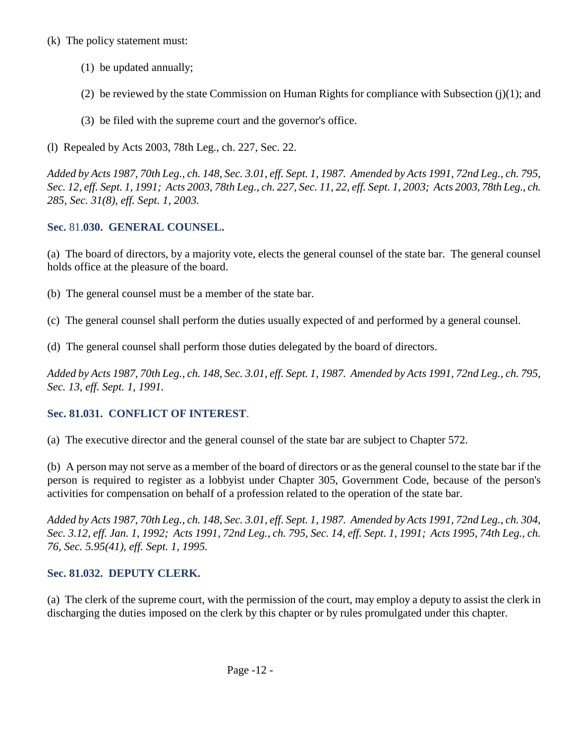#### (k) The policy statement must:

- (1) be updated annually;
- (2) be reviewed by the state Commission on Human Rights for compliance with Subsection (j)(1); and
- (3) be filed with the supreme court and the governor's office.

(l) Repealed by Acts 2003, 78th Leg., ch. 227, Sec. 22.

*Added by Acts 1987, 70th Leg., ch. 148, Sec. 3.01, eff. Sept. 1, 1987. Amended by Acts 1991, 72nd Leg., ch. 795, Sec. 12, eff. Sept. 1, 1991; Acts 2003, 78th Leg., ch. 227, Sec. 11, 22, eff. Sept. 1, 2003; Acts 2003, 78th Leg., ch. 285, Sec. 31(8), eff. Sept. 1, 2003.* 

# **Sec.** 81.**030. GENERAL COUNSEL.**

(a) The board of directors, by a majority vote, elects the general counsel of the state bar. The general counsel holds office at the pleasure of the board.

- (b) The general counsel must be a member of the state bar.
- (c) The general counsel shall perform the duties usually expected of and performed by a general counsel.
- (d) The general counsel shall perform those duties delegated by the board of directors.

*Added by Acts 1987, 70th Leg., ch. 148, Sec. 3.01, eff. Sept. 1, 1987. Amended by Acts 1991, 72nd Leg., ch. 795, Sec. 13, eff. Sept. 1, 1991.* 

# **Sec. 81.031. CONFLICT OF INTEREST**.

(a) The executive director and the general counsel of the state bar are subject to Chapter 572.

(b) A person may not serve as a member of the board of directors or as the general counsel to the state bar if the person is required to register as a lobbyist under Chapter 305, Government Code, because of the person's activities for compensation on behalf of a profession related to the operation of the state bar.

*Added by Acts 1987, 70th Leg., ch. 148, Sec. 3.01, eff. Sept. 1, 1987. Amended by Acts 1991, 72nd Leg., ch. 304, Sec. 3.12, eff. Jan. 1, 1992; Acts 1991, 72nd Leg., ch. 795, Sec. 14, eff. Sept. 1, 1991; Acts 1995, 74th Leg., ch. 76, Sec. 5.95(41), eff. Sept. 1, 1995.* 

# **Sec. 81.032. DEPUTY CLERK.**

(a) The clerk of the supreme court, with the permission of the court, may employ a deputy to assist the clerk in discharging the duties imposed on the clerk by this chapter or by rules promulgated under this chapter.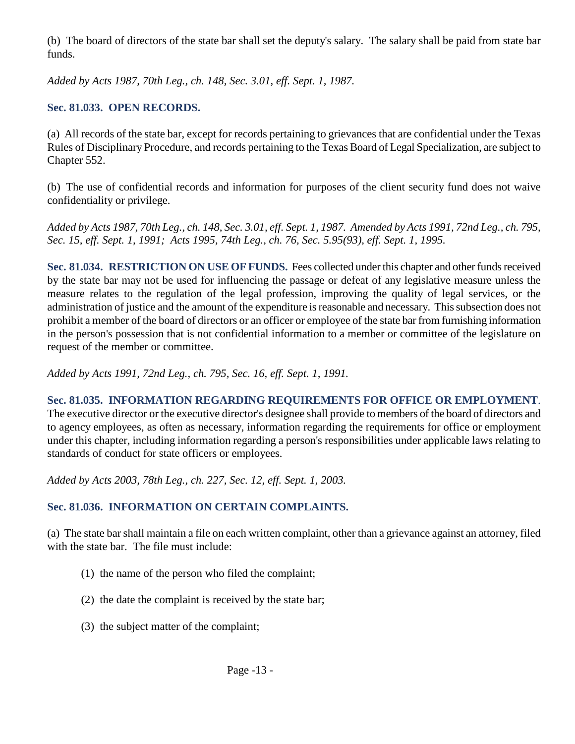(b) The board of directors of the state bar shall set the deputy's salary. The salary shall be paid from state bar funds.

*Added by Acts 1987, 70th Leg., ch. 148, Sec. 3.01, eff. Sept. 1, 1987.* 

#### **Sec. 81.033. OPEN RECORDS.**

(a) All records of the state bar, except for records pertaining to grievances that are confidential under the Texas Rules of Disciplinary Procedure, and records pertaining to the Texas Board of Legal Specialization, are subject to Chapter 552.

(b) The use of confidential records and information for purposes of the client security fund does not waive confidentiality or privilege.

*Added by Acts 1987, 70th Leg., ch. 148, Sec. 3.01, eff. Sept. 1, 1987. Amended by Acts 1991, 72nd Leg., ch. 795, Sec. 15, eff. Sept. 1, 1991; Acts 1995, 74th Leg., ch. 76, Sec. 5.95(93), eff. Sept. 1, 1995.* 

**Sec. 81.034. RESTRICTION ON USE OF FUNDS.** Fees collected under this chapter and other funds received by the state bar may not be used for influencing the passage or defeat of any legislative measure unless the measure relates to the regulation of the legal profession, improving the quality of legal services, or the administration of justice and the amount of the expenditure is reasonable and necessary. This subsection does not prohibit a member of the board of directors or an officer or employee of the state bar from furnishing information in the person's possession that is not confidential information to a member or committee of the legislature on request of the member or committee.

*Added by Acts 1991, 72nd Leg., ch. 795, Sec. 16, eff. Sept. 1, 1991.* 

**Sec. 81.035. INFORMATION REGARDING REQUIREMENTS FOR OFFICE OR EMPLOYMENT**. The executive director or the executive director's designee shall provide to members of the board of directors and to agency employees, as often as necessary, information regarding the requirements for office or employment under this chapter, including information regarding a person's responsibilities under applicable laws relating to standards of conduct for state officers or employees.

*Added by Acts 2003, 78th Leg., ch. 227, Sec. 12, eff. Sept. 1, 2003.* 

#### **Sec. 81.036. INFORMATION ON CERTAIN COMPLAINTS.**

(a) The state bar shall maintain a file on each written complaint, other than a grievance against an attorney, filed with the state bar. The file must include:

- (1) the name of the person who filed the complaint;
- (2) the date the complaint is received by the state bar;
- (3) the subject matter of the complaint;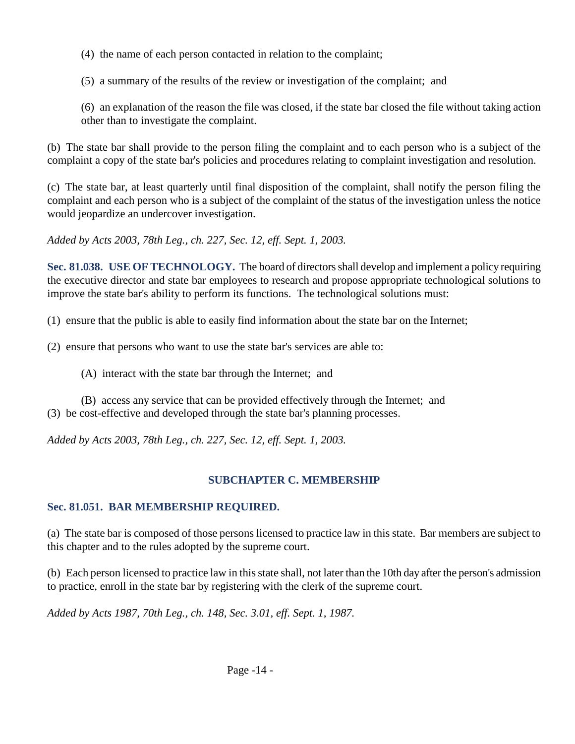(4) the name of each person contacted in relation to the complaint;

(5) a summary of the results of the review or investigation of the complaint; and

(6) an explanation of the reason the file was closed, if the state bar closed the file without taking action other than to investigate the complaint.

(b) The state bar shall provide to the person filing the complaint and to each person who is a subject of the complaint a copy of the state bar's policies and procedures relating to complaint investigation and resolution.

(c) The state bar, at least quarterly until final disposition of the complaint, shall notify the person filing the complaint and each person who is a subject of the complaint of the status of the investigation unless the notice would jeopardize an undercover investigation.

*Added by Acts 2003, 78th Leg., ch. 227, Sec. 12, eff. Sept. 1, 2003.* 

**Sec. 81.038. USE OF TECHNOLOGY.** The board of directors shall develop and implement a policy requiring the executive director and state bar employees to research and propose appropriate technological solutions to improve the state bar's ability to perform its functions. The technological solutions must:

(1) ensure that the public is able to easily find information about the state bar on the Internet;

(2) ensure that persons who want to use the state bar's services are able to:

(A) interact with the state bar through the Internet; and

(B) access any service that can be provided effectively through the Internet; and (3) be cost-effective and developed through the state bar's planning processes.

*Added by Acts 2003, 78th Leg., ch. 227, Sec. 12, eff. Sept. 1, 2003.* 

## **SUBCHAPTER C. MEMBERSHIP**

#### **Sec. 81.051. BAR MEMBERSHIP REQUIRED.**

(a) The state bar is composed of those persons licensed to practice law in this state. Bar members are subject to this chapter and to the rules adopted by the supreme court.

(b) Each person licensed to practice law in this state shall, not later than the 10th day after the person's admission to practice, enroll in the state bar by registering with the clerk of the supreme court.

*Added by Acts 1987, 70th Leg., ch. 148, Sec. 3.01, eff. Sept. 1, 1987.*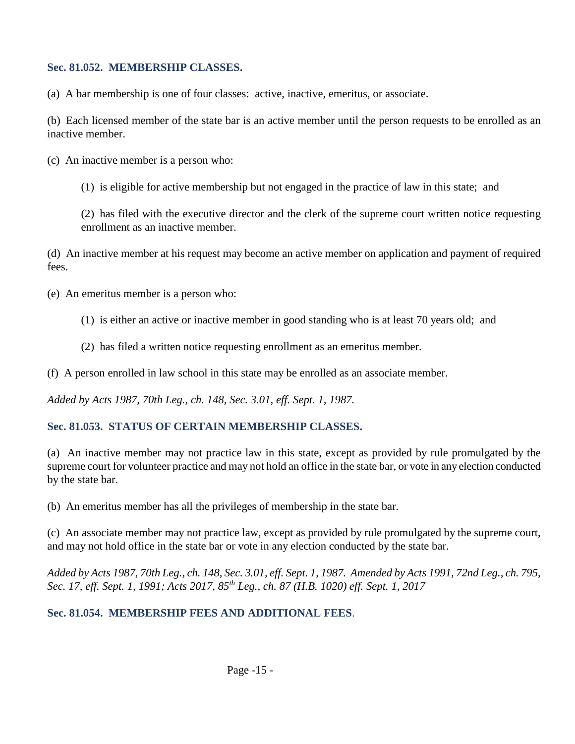#### **Sec. 81.052. MEMBERSHIP CLASSES.**

(a) A bar membership is one of four classes: active, inactive, emeritus, or associate.

(b) Each licensed member of the state bar is an active member until the person requests to be enrolled as an inactive member.

(c) An inactive member is a person who:

(1) is eligible for active membership but not engaged in the practice of law in this state; and

(2) has filed with the executive director and the clerk of the supreme court written notice requesting enrollment as an inactive member.

(d) An inactive member at his request may become an active member on application and payment of required fees.

(e) An emeritus member is a person who:

- (1) is either an active or inactive member in good standing who is at least 70 years old; and
- (2) has filed a written notice requesting enrollment as an emeritus member.

(f) A person enrolled in law school in this state may be enrolled as an associate member.

*Added by Acts 1987, 70th Leg., ch. 148, Sec. 3.01, eff. Sept. 1, 1987.* 

## **Sec. 81.053. STATUS OF CERTAIN MEMBERSHIP CLASSES.**

(a) An inactive member may not practice law in this state, except as provided by rule promulgated by the supreme court for volunteer practice and may not hold an office in the state bar, or vote in any election conducted by the state bar.

(b) An emeritus member has all the privileges of membership in the state bar.

(c) An associate member may not practice law, except as provided by rule promulgated by the supreme court, and may not hold office in the state bar or vote in any election conducted by the state bar.

*Added by Acts 1987, 70th Leg., ch. 148, Sec. 3.01, eff. Sept. 1, 1987. Amended by Acts 1991, 72nd Leg., ch. 795, Sec. 17, eff. Sept. 1, 1991; Acts 2017, 85th Leg., ch. 87 (H.B. 1020) eff. Sept. 1, 2017* 

## **Sec. 81.054. MEMBERSHIP FEES AND ADDITIONAL FEES**.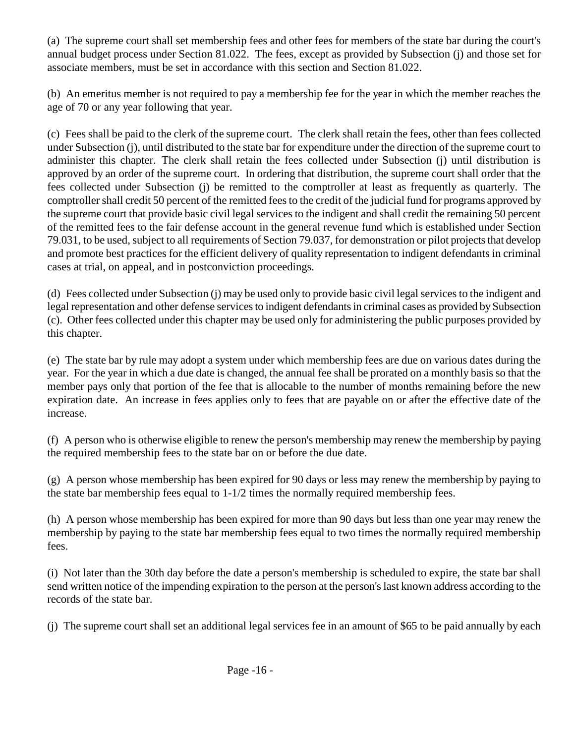(a) The supreme court shall set membership fees and other fees for members of the state bar during the court's annual budget process under Section 81.022. The fees, except as provided by Subsection (j) and those set for associate members, must be set in accordance with this section and Section 81.022.

(b) An emeritus member is not required to pay a membership fee for the year in which the member reaches the age of 70 or any year following that year.

(c) Fees shall be paid to the clerk of the supreme court. The clerk shall retain the fees, other than fees collected under Subsection (j), until distributed to the state bar for expenditure under the direction of the supreme court to administer this chapter. The clerk shall retain the fees collected under Subsection (j) until distribution is approved by an order of the supreme court. In ordering that distribution, the supreme court shall order that the fees collected under Subsection (j) be remitted to the comptroller at least as frequently as quarterly. The comptroller shall credit 50 percent of the remitted fees to the credit of the judicial fund for programs approved by the supreme court that provide basic civil legal services to the indigent and shall credit the remaining 50 percent of the remitted fees to the fair defense account in the general revenue fund which is established under Section 79.031, to be used, subject to all requirements of Section 79.037, for demonstration or pilot projects that develop and promote best practices for the efficient delivery of quality representation to indigent defendants in criminal cases at trial, on appeal, and in postconviction proceedings.

(d) Fees collected under Subsection (j) may be used only to provide basic civil legal services to the indigent and legal representation and other defense services to indigent defendants in criminal cases as provided by Subsection (c). Other fees collected under this chapter may be used only for administering the public purposes provided by this chapter.

(e) The state bar by rule may adopt a system under which membership fees are due on various dates during the year. For the year in which a due date is changed, the annual fee shall be prorated on a monthly basis so that the member pays only that portion of the fee that is allocable to the number of months remaining before the new expiration date. An increase in fees applies only to fees that are payable on or after the effective date of the increase.

(f) A person who is otherwise eligible to renew the person's membership may renew the membership by paying the required membership fees to the state bar on or before the due date.

(g) A person whose membership has been expired for 90 days or less may renew the membership by paying to the state bar membership fees equal to 1-1/2 times the normally required membership fees.

(h) A person whose membership has been expired for more than 90 days but less than one year may renew the membership by paying to the state bar membership fees equal to two times the normally required membership fees.

(i) Not later than the 30th day before the date a person's membership is scheduled to expire, the state bar shall send written notice of the impending expiration to the person at the person's last known address according to the records of the state bar.

(j) The supreme court shall set an additional legal services fee in an amount of \$65 to be paid annually by each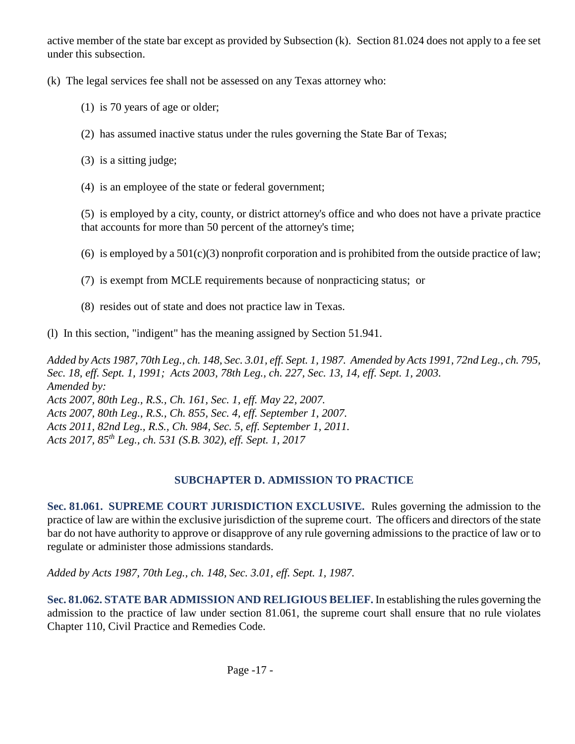active member of the state bar except as provided by Subsection (k). Section 81.024 does not apply to a fee set under this subsection.

(k) The legal services fee shall not be assessed on any Texas attorney who:

- (1) is 70 years of age or older;
- (2) has assumed inactive status under the rules governing the State Bar of Texas;
- (3) is a sitting judge;
- (4) is an employee of the state or federal government;

(5) is employed by a city, county, or district attorney's office and who does not have a private practice that accounts for more than 50 percent of the attorney's time;

- (6) is employed by a  $501(c)(3)$  nonprofit corporation and is prohibited from the outside practice of law;
- (7) is exempt from MCLE requirements because of nonpracticing status; or
- (8) resides out of state and does not practice law in Texas.
- (l) In this section, "indigent" has the meaning assigned by Section 51.941.

*Added by Acts 1987, 70th Leg., ch. 148, Sec. 3.01, eff. Sept. 1, 1987. Amended by Acts 1991, 72nd Leg., ch. 795, Sec. 18, eff. Sept. 1, 1991; Acts 2003, 78th Leg., ch. 227, Sec. 13, 14, eff. Sept. 1, 2003. Amended by:* 

*Acts 2007, 80th Leg., R.S., Ch. 161, Sec. 1, eff. May 22, 2007. Acts 2007, 80th Leg., R.S., Ch. 855, Sec. 4, eff. September 1, 2007. Acts 2011, 82nd Leg., R.S., Ch. 984, Sec. 5, eff. September 1, 2011. Acts 2017, 85th Leg., ch. 531 (S.B. 302), eff. Sept. 1, 2017*

# **SUBCHAPTER D. ADMISSION TO PRACTICE**

**Sec. 81.061. SUPREME COURT JURISDICTION EXCLUSIVE.** Rules governing the admission to the practice of law are within the exclusive jurisdiction of the supreme court. The officers and directors of the state bar do not have authority to approve or disapprove of any rule governing admissions to the practice of law or to regulate or administer those admissions standards.

*Added by Acts 1987, 70th Leg., ch. 148, Sec. 3.01, eff. Sept. 1, 1987.*

**Sec. 81.062. STATE BAR ADMISSION AND RELIGIOUS BELIEF.** In establishing the rules governing the admission to the practice of law under section 81.061, the supreme court shall ensure that no rule violates Chapter 110, Civil Practice and Remedies Code.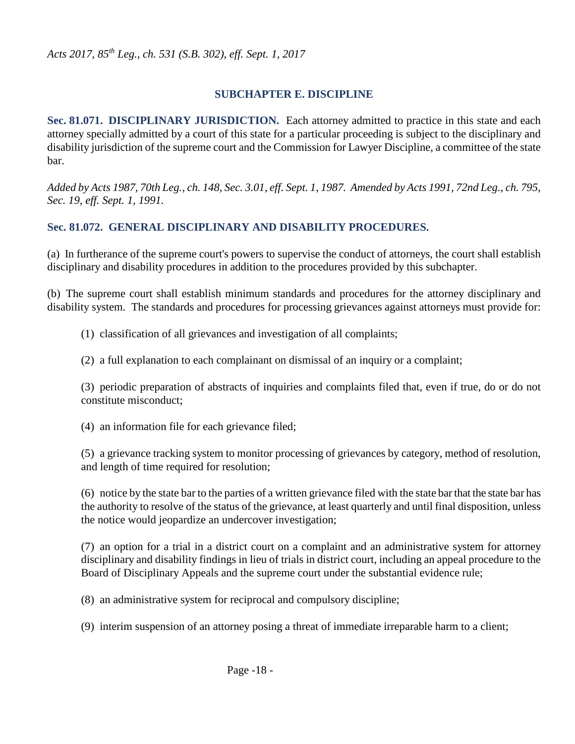#### **SUBCHAPTER E. DISCIPLINE**

**Sec. 81.071. DISCIPLINARY JURISDICTION.** Each attorney admitted to practice in this state and each attorney specially admitted by a court of this state for a particular proceeding is subject to the disciplinary and disability jurisdiction of the supreme court and the Commission for Lawyer Discipline, a committee of the state bar.

*Added by Acts 1987, 70th Leg., ch. 148, Sec. 3.01, eff. Sept. 1, 1987. Amended by Acts 1991, 72nd Leg., ch. 795, Sec. 19, eff. Sept. 1, 1991.* 

#### **Sec. 81.072. GENERAL DISCIPLINARY AND DISABILITY PROCEDURES.**

(a) In furtherance of the supreme court's powers to supervise the conduct of attorneys, the court shall establish disciplinary and disability procedures in addition to the procedures provided by this subchapter.

(b) The supreme court shall establish minimum standards and procedures for the attorney disciplinary and disability system. The standards and procedures for processing grievances against attorneys must provide for:

(1) classification of all grievances and investigation of all complaints;

(2) a full explanation to each complainant on dismissal of an inquiry or a complaint;

(3) periodic preparation of abstracts of inquiries and complaints filed that, even if true, do or do not constitute misconduct;

(4) an information file for each grievance filed;

(5) a grievance tracking system to monitor processing of grievances by category, method of resolution, and length of time required for resolution;

(6) notice by the state bar to the parties of a written grievance filed with the state bar that the state bar has the authority to resolve of the status of the grievance, at least quarterly and until final disposition, unless the notice would jeopardize an undercover investigation;

(7) an option for a trial in a district court on a complaint and an administrative system for attorney disciplinary and disability findings in lieu of trials in district court, including an appeal procedure to the Board of Disciplinary Appeals and the supreme court under the substantial evidence rule;

(8) an administrative system for reciprocal and compulsory discipline;

(9) interim suspension of an attorney posing a threat of immediate irreparable harm to a client;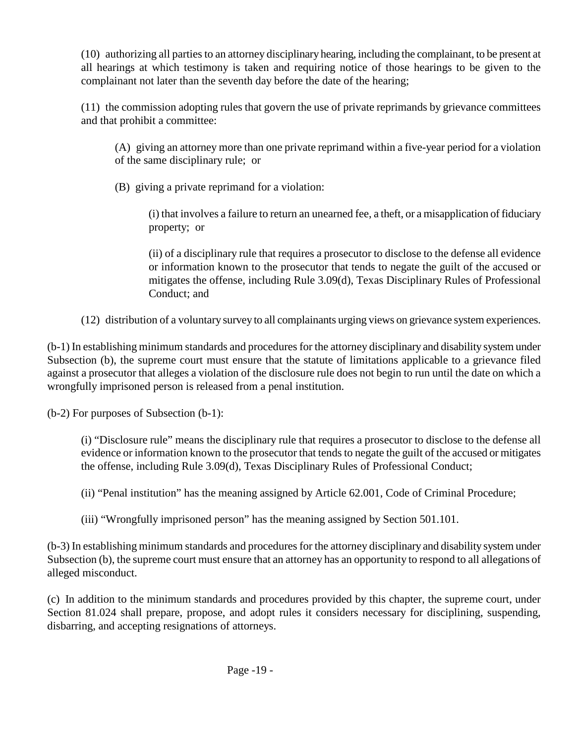(10) authorizing all parties to an attorney disciplinary hearing, including the complainant, to be present at all hearings at which testimony is taken and requiring notice of those hearings to be given to the complainant not later than the seventh day before the date of the hearing;

(11) the commission adopting rules that govern the use of private reprimands by grievance committees and that prohibit a committee:

(A) giving an attorney more than one private reprimand within a five-year period for a violation of the same disciplinary rule; or

(B) giving a private reprimand for a violation:

(i) that involves a failure to return an unearned fee, a theft, or a misapplication of fiduciary property; or

(ii) of a disciplinary rule that requires a prosecutor to disclose to the defense all evidence or information known to the prosecutor that tends to negate the guilt of the accused or mitigates the offense, including Rule 3.09(d), Texas Disciplinary Rules of Professional Conduct; and

(12) distribution of a voluntary survey to all complainants urging views on grievance system experiences.

(b-1) In establishing minimum standards and procedures for the attorney disciplinary and disability system under Subsection (b), the supreme court must ensure that the statute of limitations applicable to a grievance filed against a prosecutor that alleges a violation of the disclosure rule does not begin to run until the date on which a wrongfully imprisoned person is released from a penal institution.

(b-2) For purposes of Subsection (b-1):

(i) "Disclosure rule" means the disciplinary rule that requires a prosecutor to disclose to the defense all evidence or information known to the prosecutor that tends to negate the guilt of the accused or mitigates the offense, including Rule 3.09(d), Texas Disciplinary Rules of Professional Conduct;

(ii) "Penal institution" has the meaning assigned by Article 62.001, Code of Criminal Procedure;

(iii) "Wrongfully imprisoned person" has the meaning assigned by Section 501.101.

(b-3) In establishing minimum standards and procedures for the attorney disciplinary and disability system under Subsection (b), the supreme court must ensure that an attorney has an opportunity to respond to all allegations of alleged misconduct.

(c) In addition to the minimum standards and procedures provided by this chapter, the supreme court, under Section 81.024 shall prepare, propose, and adopt rules it considers necessary for disciplining, suspending, disbarring, and accepting resignations of attorneys.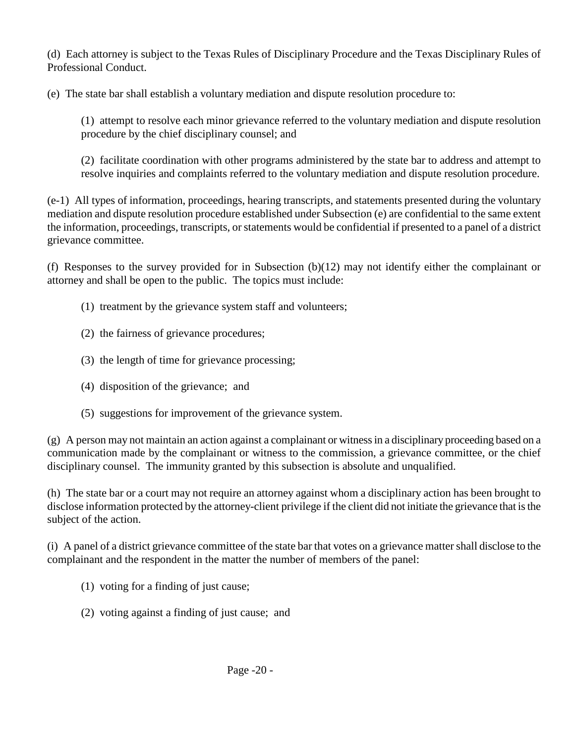(d) Each attorney is subject to the Texas Rules of Disciplinary Procedure and the Texas Disciplinary Rules of Professional Conduct.

(e) The state bar shall establish a voluntary mediation and dispute resolution procedure to:

(1) attempt to resolve each minor grievance referred to the voluntary mediation and dispute resolution procedure by the chief disciplinary counsel; and

(2) facilitate coordination with other programs administered by the state bar to address and attempt to resolve inquiries and complaints referred to the voluntary mediation and dispute resolution procedure.

(e-1) All types of information, proceedings, hearing transcripts, and statements presented during the voluntary mediation and dispute resolution procedure established under Subsection (e) are confidential to the same extent the information, proceedings, transcripts, or statements would be confidential if presented to a panel of a district grievance committee.

(f) Responses to the survey provided for in Subsection (b)(12) may not identify either the complainant or attorney and shall be open to the public. The topics must include:

- (1) treatment by the grievance system staff and volunteers;
- (2) the fairness of grievance procedures;
- (3) the length of time for grievance processing;
- (4) disposition of the grievance; and
- (5) suggestions for improvement of the grievance system.

(g) A person may not maintain an action against a complainant or witness in a disciplinary proceeding based on a communication made by the complainant or witness to the commission, a grievance committee, or the chief disciplinary counsel. The immunity granted by this subsection is absolute and unqualified.

(h) The state bar or a court may not require an attorney against whom a disciplinary action has been brought to disclose information protected by the attorney-client privilege if the client did not initiate the grievance that is the subject of the action.

(i) A panel of a district grievance committee of the state bar that votes on a grievance matter shall disclose to the complainant and the respondent in the matter the number of members of the panel:

- (1) voting for a finding of just cause;
- (2) voting against a finding of just cause; and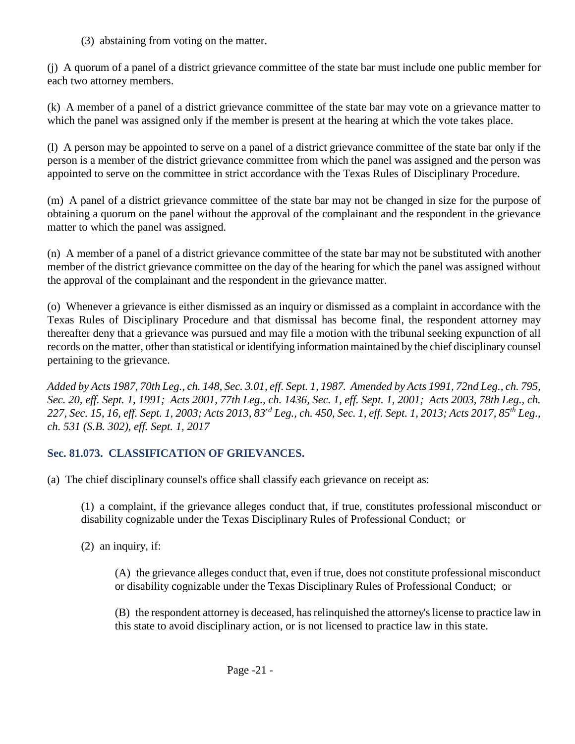(3) abstaining from voting on the matter.

(j) A quorum of a panel of a district grievance committee of the state bar must include one public member for each two attorney members.

(k) A member of a panel of a district grievance committee of the state bar may vote on a grievance matter to which the panel was assigned only if the member is present at the hearing at which the vote takes place.

(l) A person may be appointed to serve on a panel of a district grievance committee of the state bar only if the person is a member of the district grievance committee from which the panel was assigned and the person was appointed to serve on the committee in strict accordance with the Texas Rules of Disciplinary Procedure.

(m) A panel of a district grievance committee of the state bar may not be changed in size for the purpose of obtaining a quorum on the panel without the approval of the complainant and the respondent in the grievance matter to which the panel was assigned.

(n) A member of a panel of a district grievance committee of the state bar may not be substituted with another member of the district grievance committee on the day of the hearing for which the panel was assigned without the approval of the complainant and the respondent in the grievance matter.

(o) Whenever a grievance is either dismissed as an inquiry or dismissed as a complaint in accordance with the Texas Rules of Disciplinary Procedure and that dismissal has become final, the respondent attorney may thereafter deny that a grievance was pursued and may file a motion with the tribunal seeking expunction of all records on the matter, other than statistical or identifying information maintained by the chief disciplinary counsel pertaining to the grievance.

*Added by Acts 1987, 70th Leg., ch. 148, Sec. 3.01, eff. Sept. 1, 1987. Amended by Acts 1991, 72nd Leg., ch. 795, Sec. 20, eff. Sept. 1, 1991; Acts 2001, 77th Leg., ch. 1436, Sec. 1, eff. Sept. 1, 2001; Acts 2003, 78th Leg., ch. 227, Sec. 15, 16, eff. Sept. 1, 2003; Acts 2013, 83rd Leg., ch. 450, Sec. 1, eff. Sept. 1, 2013; Acts 2017, 85th Leg., ch. 531 (S.B. 302), eff. Sept. 1, 2017* 

## **Sec. 81.073. CLASSIFICATION OF GRIEVANCES.**

(a) The chief disciplinary counsel's office shall classify each grievance on receipt as:

(1) a complaint, if the grievance alleges conduct that, if true, constitutes professional misconduct or disability cognizable under the Texas Disciplinary Rules of Professional Conduct; or

(2) an inquiry, if:

(A) the grievance alleges conduct that, even if true, does not constitute professional misconduct or disability cognizable under the Texas Disciplinary Rules of Professional Conduct; or

(B) the respondent attorney is deceased, has relinquished the attorney's license to practice law in this state to avoid disciplinary action, or is not licensed to practice law in this state.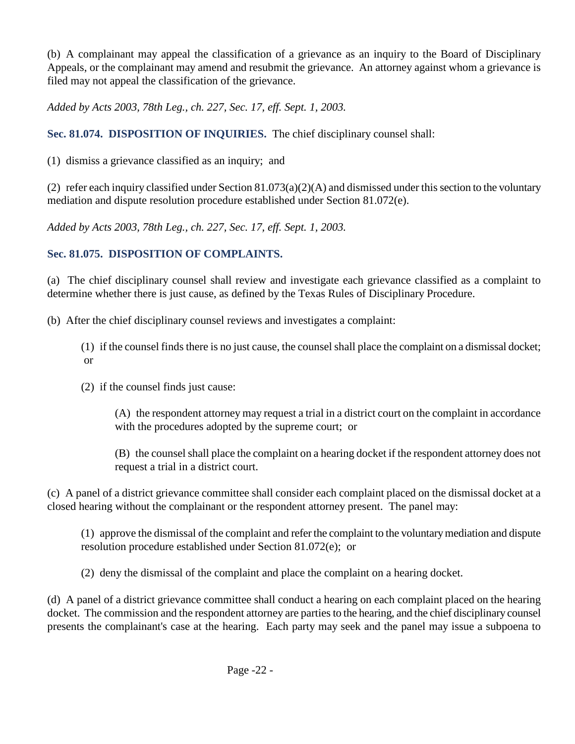(b) A complainant may appeal the classification of a grievance as an inquiry to the Board of Disciplinary Appeals, or the complainant may amend and resubmit the grievance. An attorney against whom a grievance is filed may not appeal the classification of the grievance.

*Added by Acts 2003, 78th Leg., ch. 227, Sec. 17, eff. Sept. 1, 2003.* 

**Sec. 81.074. DISPOSITION OF INQUIRIES.** The chief disciplinary counsel shall:

(1) dismiss a grievance classified as an inquiry; and

(2) refer each inquiry classified under Section  $81.073(a)(2)(A)$  and dismissed under this section to the voluntary mediation and dispute resolution procedure established under Section 81.072(e).

*Added by Acts 2003, 78th Leg., ch. 227, Sec. 17, eff. Sept. 1, 2003.* 

## **Sec. 81.075. DISPOSITION OF COMPLAINTS.**

(a) The chief disciplinary counsel shall review and investigate each grievance classified as a complaint to determine whether there is just cause, as defined by the Texas Rules of Disciplinary Procedure.

(b) After the chief disciplinary counsel reviews and investigates a complaint:

(1) if the counsel finds there is no just cause, the counsel shall place the complaint on a dismissal docket; or

(2) if the counsel finds just cause:

(A) the respondent attorney may request a trial in a district court on the complaint in accordance with the procedures adopted by the supreme court; or

(B) the counsel shall place the complaint on a hearing docket if the respondent attorney does not request a trial in a district court.

(c) A panel of a district grievance committee shall consider each complaint placed on the dismissal docket at a closed hearing without the complainant or the respondent attorney present. The panel may:

(1) approve the dismissal of the complaint and refer the complaint to the voluntary mediation and dispute resolution procedure established under Section 81.072(e); or

(2) deny the dismissal of the complaint and place the complaint on a hearing docket.

(d) A panel of a district grievance committee shall conduct a hearing on each complaint placed on the hearing docket. The commission and the respondent attorney are parties to the hearing, and the chief disciplinary counsel presents the complainant's case at the hearing. Each party may seek and the panel may issue a subpoena to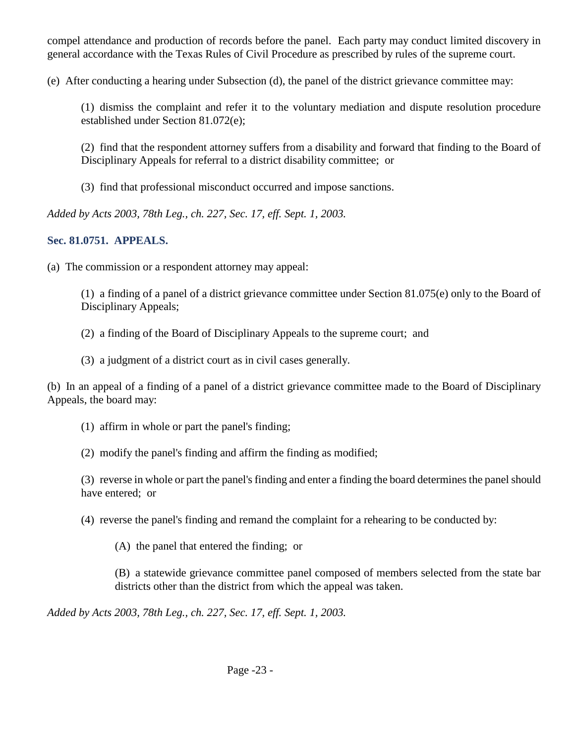compel attendance and production of records before the panel. Each party may conduct limited discovery in general accordance with the Texas Rules of Civil Procedure as prescribed by rules of the supreme court.

(e) After conducting a hearing under Subsection (d), the panel of the district grievance committee may:

(1) dismiss the complaint and refer it to the voluntary mediation and dispute resolution procedure established under Section 81.072(e);

(2) find that the respondent attorney suffers from a disability and forward that finding to the Board of Disciplinary Appeals for referral to a district disability committee; or

(3) find that professional misconduct occurred and impose sanctions.

*Added by Acts 2003, 78th Leg., ch. 227, Sec. 17, eff. Sept. 1, 2003.* 

## **Sec. 81.0751. APPEALS.**

(a) The commission or a respondent attorney may appeal:

(1) a finding of a panel of a district grievance committee under Section 81.075(e) only to the Board of Disciplinary Appeals;

(2) a finding of the Board of Disciplinary Appeals to the supreme court; and

(3) a judgment of a district court as in civil cases generally.

(b) In an appeal of a finding of a panel of a district grievance committee made to the Board of Disciplinary Appeals, the board may:

(1) affirm in whole or part the panel's finding;

(2) modify the panel's finding and affirm the finding as modified;

(3) reverse in whole or part the panel's finding and enter a finding the board determines the panel should have entered; or

(4) reverse the panel's finding and remand the complaint for a rehearing to be conducted by:

(A) the panel that entered the finding; or

(B) a statewide grievance committee panel composed of members selected from the state bar districts other than the district from which the appeal was taken.

*Added by Acts 2003, 78th Leg., ch. 227, Sec. 17, eff. Sept. 1, 2003.*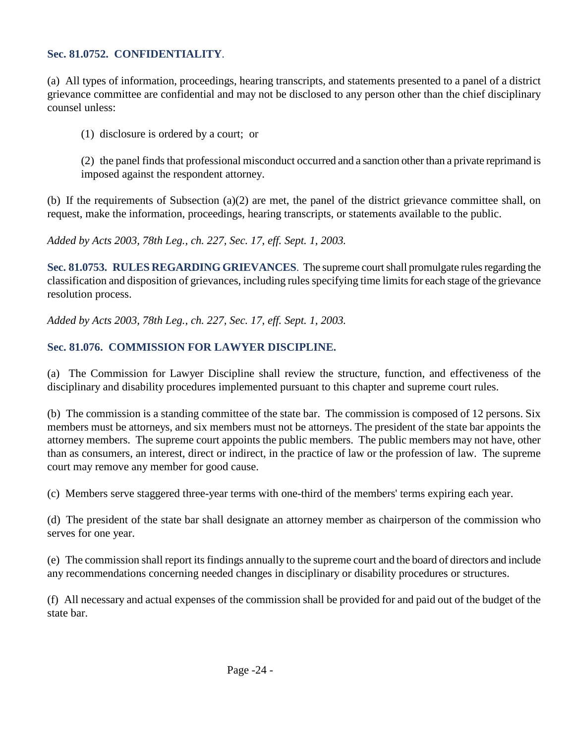#### **Sec. 81.0752. CONFIDENTIALITY**.

(a) All types of information, proceedings, hearing transcripts, and statements presented to a panel of a district grievance committee are confidential and may not be disclosed to any person other than the chief disciplinary counsel unless:

(1) disclosure is ordered by a court; or

(2) the panel finds that professional misconduct occurred and a sanction other than a private reprimand is imposed against the respondent attorney.

(b) If the requirements of Subsection (a)(2) are met, the panel of the district grievance committee shall, on request, make the information, proceedings, hearing transcripts, or statements available to the public.

*Added by Acts 2003, 78th Leg., ch. 227, Sec. 17, eff. Sept. 1, 2003.* 

**Sec. 81.0753. RULES REGARDING GRIEVANCES**. The supreme court shall promulgate rules regarding the classification and disposition of grievances, including rules specifying time limits for each stage of the grievance resolution process.

*Added by Acts 2003, 78th Leg., ch. 227, Sec. 17, eff. Sept. 1, 2003.* 

## **Sec. 81.076. COMMISSION FOR LAWYER DISCIPLINE.**

(a) The Commission for Lawyer Discipline shall review the structure, function, and effectiveness of the disciplinary and disability procedures implemented pursuant to this chapter and supreme court rules.

(b) The commission is a standing committee of the state bar. The commission is composed of 12 persons. Six members must be attorneys, and six members must not be attorneys. The president of the state bar appoints the attorney members. The supreme court appoints the public members. The public members may not have, other than as consumers, an interest, direct or indirect, in the practice of law or the profession of law. The supreme court may remove any member for good cause.

(c) Members serve staggered three-year terms with one-third of the members' terms expiring each year.

(d) The president of the state bar shall designate an attorney member as chairperson of the commission who serves for one year.

(e) The commission shall report its findings annually to the supreme court and the board of directors and include any recommendations concerning needed changes in disciplinary or disability procedures or structures.

(f) All necessary and actual expenses of the commission shall be provided for and paid out of the budget of the state bar.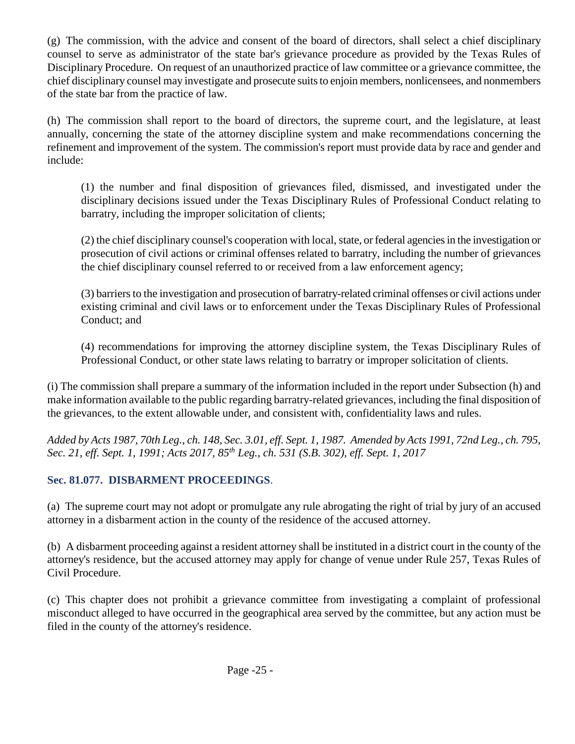(g) The commission, with the advice and consent of the board of directors, shall select a chief disciplinary counsel to serve as administrator of the state bar's grievance procedure as provided by the Texas Rules of Disciplinary Procedure. On request of an unauthorized practice of law committee or a grievance committee, the chief disciplinary counsel may investigate and prosecute suits to enjoin members, nonlicensees, and nonmembers of the state bar from the practice of law.

(h) The commission shall report to the board of directors, the supreme court, and the legislature, at least annually, concerning the state of the attorney discipline system and make recommendations concerning the refinement and improvement of the system. The commission's report must provide data by race and gender and include:

(1) the number and final disposition of grievances filed, dismissed, and investigated under the disciplinary decisions issued under the Texas Disciplinary Rules of Professional Conduct relating to barratry, including the improper solicitation of clients;

(2) the chief disciplinary counsel's cooperation with local, state, or federal agencies in the investigation or prosecution of civil actions or criminal offenses related to barratry, including the number of grievances the chief disciplinary counsel referred to or received from a law enforcement agency;

(3) barriers to the investigation and prosecution of barratry-related criminal offenses or civil actions under existing criminal and civil laws or to enforcement under the Texas Disciplinary Rules of Professional Conduct; and

(4) recommendations for improving the attorney discipline system, the Texas Disciplinary Rules of Professional Conduct, or other state laws relating to barratry or improper solicitation of clients.

(i) The commission shall prepare a summary of the information included in the report under Subsection (h) and make information available to the public regarding barratry-related grievances, including the final disposition of the grievances, to the extent allowable under, and consistent with, confidentiality laws and rules.

*Added by Acts 1987, 70th Leg., ch. 148, Sec. 3.01, eff. Sept. 1, 1987. Amended by Acts 1991, 72nd Leg., ch. 795, Sec. 21, eff. Sept. 1, 1991; Acts 2017, 85th Leg., ch. 531 (S.B. 302), eff. Sept. 1, 2017* 

## **Sec. 81.077. DISBARMENT PROCEEDINGS**.

(a) The supreme court may not adopt or promulgate any rule abrogating the right of trial by jury of an accused attorney in a disbarment action in the county of the residence of the accused attorney.

(b) A disbarment proceeding against a resident attorney shall be instituted in a district court in the county of the attorney's residence, but the accused attorney may apply for change of venue under Rule 257, Texas Rules of Civil Procedure.

(c) This chapter does not prohibit a grievance committee from investigating a complaint of professional misconduct alleged to have occurred in the geographical area served by the committee, but any action must be filed in the county of the attorney's residence.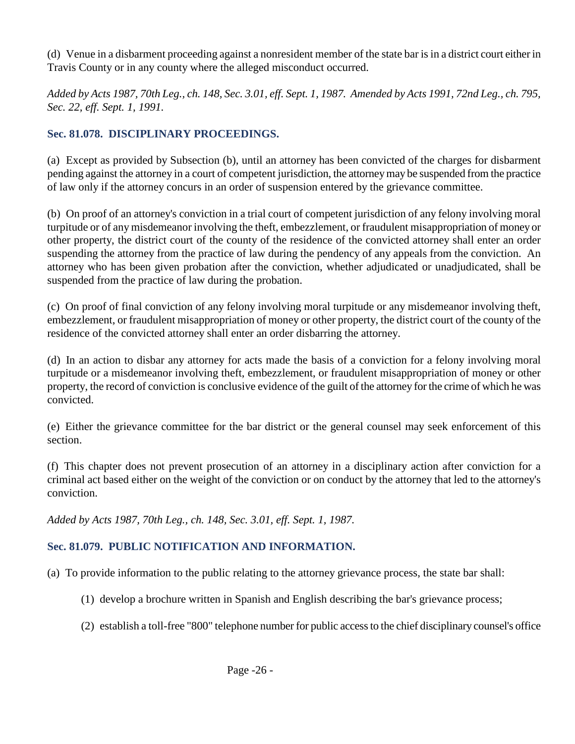(d) Venue in a disbarment proceeding against a nonresident member of the state bar is in a district court either in Travis County or in any county where the alleged misconduct occurred.

*Added by Acts 1987, 70th Leg., ch. 148, Sec. 3.01, eff. Sept. 1, 1987. Amended by Acts 1991, 72nd Leg., ch. 795, Sec. 22, eff. Sept. 1, 1991.* 

## **Sec. 81.078. DISCIPLINARY PROCEEDINGS.**

(a) Except as provided by Subsection (b), until an attorney has been convicted of the charges for disbarment pending against the attorney in a court of competent jurisdiction, the attorney may be suspended from the practice of law only if the attorney concurs in an order of suspension entered by the grievance committee.

(b) On proof of an attorney's conviction in a trial court of competent jurisdiction of any felony involving moral turpitude or of any misdemeanor involving the theft, embezzlement, or fraudulent misappropriation of money or other property, the district court of the county of the residence of the convicted attorney shall enter an order suspending the attorney from the practice of law during the pendency of any appeals from the conviction. An attorney who has been given probation after the conviction, whether adjudicated or unadjudicated, shall be suspended from the practice of law during the probation.

(c) On proof of final conviction of any felony involving moral turpitude or any misdemeanor involving theft, embezzlement, or fraudulent misappropriation of money or other property, the district court of the county of the residence of the convicted attorney shall enter an order disbarring the attorney.

(d) In an action to disbar any attorney for acts made the basis of a conviction for a felony involving moral turpitude or a misdemeanor involving theft, embezzlement, or fraudulent misappropriation of money or other property, the record of conviction is conclusive evidence of the guilt of the attorney for the crime of which he was convicted.

(e) Either the grievance committee for the bar district or the general counsel may seek enforcement of this section.

(f) This chapter does not prevent prosecution of an attorney in a disciplinary action after conviction for a criminal act based either on the weight of the conviction or on conduct by the attorney that led to the attorney's conviction.

*Added by Acts 1987, 70th Leg., ch. 148, Sec. 3.01, eff. Sept. 1, 1987.* 

## **Sec. 81.079. PUBLIC NOTIFICATION AND INFORMATION.**

(a) To provide information to the public relating to the attorney grievance process, the state bar shall:

- (1) develop a brochure written in Spanish and English describing the bar's grievance process;
- (2) establish a toll-free "800" telephone number for public access to the chief disciplinary counsel's office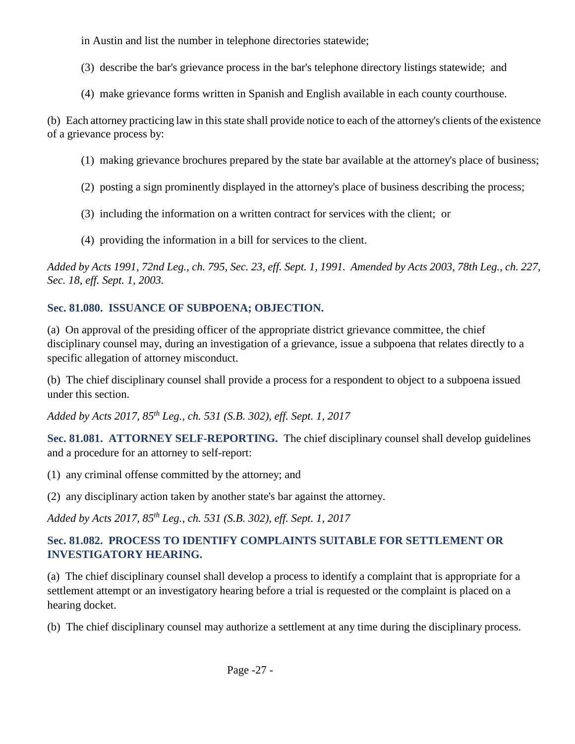in Austin and list the number in telephone directories statewide;

- (3) describe the bar's grievance process in the bar's telephone directory listings statewide; and
- (4) make grievance forms written in Spanish and English available in each county courthouse.

(b) Each attorney practicing law in this state shall provide notice to each of the attorney's clients of the existence of a grievance process by:

- (1) making grievance brochures prepared by the state bar available at the attorney's place of business;
- (2) posting a sign prominently displayed in the attorney's place of business describing the process;
- (3) including the information on a written contract for services with the client; or
- (4) providing the information in a bill for services to the client.

*Added by Acts 1991, 72nd Leg., ch. 795, Sec. 23, eff. Sept. 1, 1991. Amended by Acts 2003, 78th Leg., ch. 227, Sec. 18, eff. Sept. 1, 2003.* 

# **Sec. 81.080. ISSUANCE OF SUBPOENA; OBJECTION.**

(a) On approval of the presiding officer of the appropriate district grievance committee, the chief disciplinary counsel may, during an investigation of a grievance, issue a subpoena that relates directly to a specific allegation of attorney misconduct.

(b) The chief disciplinary counsel shall provide a process for a respondent to object to a subpoena issued under this section.

*Added by Acts 2017, 85th Leg., ch. 531 (S.B. 302), eff. Sept. 1, 2017* 

**Sec. 81.081. ATTORNEY SELF-REPORTING.** The chief disciplinary counsel shall develop guidelines and a procedure for an attorney to self-report:

- (1) any criminal offense committed by the attorney; and
- (2) any disciplinary action taken by another state's bar against the attorney.

*Added by Acts 2017, 85th Leg., ch. 531 (S.B. 302), eff. Sept. 1, 2017* 

# **Sec. 81.082. PROCESS TO IDENTIFY COMPLAINTS SUITABLE FOR SETTLEMENT OR INVESTIGATORY HEARING.**

(a) The chief disciplinary counsel shall develop a process to identify a complaint that is appropriate for a settlement attempt or an investigatory hearing before a trial is requested or the complaint is placed on a hearing docket.

(b) The chief disciplinary counsel may authorize a settlement at any time during the disciplinary process.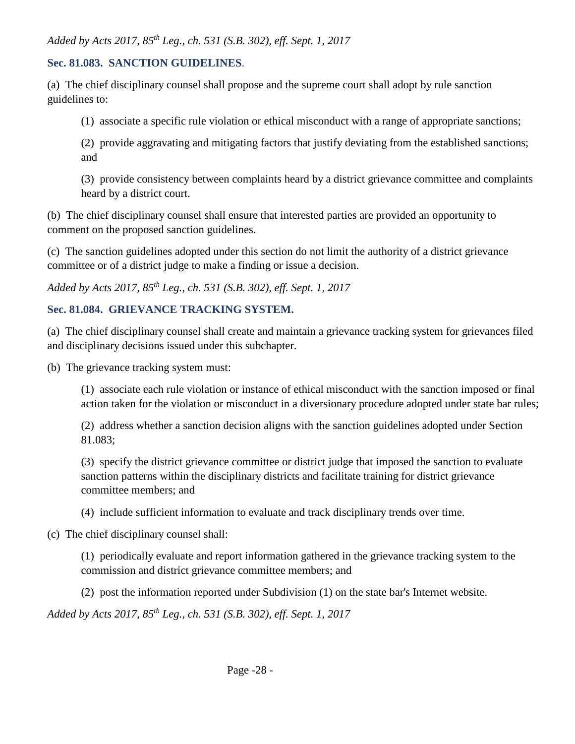*Added by Acts 2017, 85th Leg., ch. 531 (S.B. 302), eff. Sept. 1, 2017* 

#### **Sec. 81.083. SANCTION GUIDELINES**.

(a) The chief disciplinary counsel shall propose and the supreme court shall adopt by rule sanction guidelines to:

(1) associate a specific rule violation or ethical misconduct with a range of appropriate sanctions;

(2) provide aggravating and mitigating factors that justify deviating from the established sanctions; and

(3) provide consistency between complaints heard by a district grievance committee and complaints heard by a district court.

(b) The chief disciplinary counsel shall ensure that interested parties are provided an opportunity to comment on the proposed sanction guidelines.

(c) The sanction guidelines adopted under this section do not limit the authority of a district grievance committee or of a district judge to make a finding or issue a decision.

*Added by Acts 2017, 85th Leg., ch. 531 (S.B. 302), eff. Sept. 1, 2017* 

## **Sec. 81.084. GRIEVANCE TRACKING SYSTEM.**

(a) The chief disciplinary counsel shall create and maintain a grievance tracking system for grievances filed and disciplinary decisions issued under this subchapter.

(b) The grievance tracking system must:

(1) associate each rule violation or instance of ethical misconduct with the sanction imposed or final action taken for the violation or misconduct in a diversionary procedure adopted under state bar rules;

(2) address whether a sanction decision aligns with the sanction guidelines adopted under Section 81.083;

(3) specify the district grievance committee or district judge that imposed the sanction to evaluate sanction patterns within the disciplinary districts and facilitate training for district grievance committee members; and

(4) include sufficient information to evaluate and track disciplinary trends over time.

(c) The chief disciplinary counsel shall:

(1) periodically evaluate and report information gathered in the grievance tracking system to the commission and district grievance committee members; and

(2) post the information reported under Subdivision (1) on the state bar's Internet website.

*Added by Acts 2017, 85th Leg., ch. 531 (S.B. 302), eff. Sept. 1, 2017*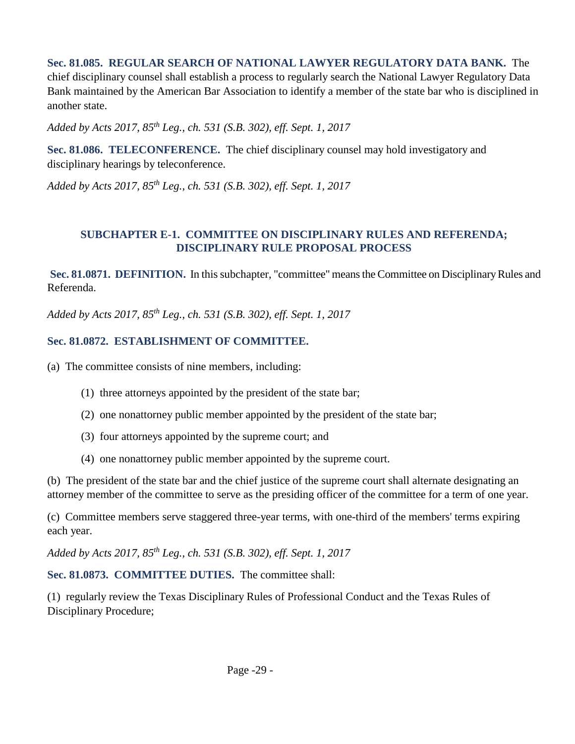**Sec. 81.085. REGULAR SEARCH OF NATIONAL LAWYER REGULATORY DATA BANK.** The chief disciplinary counsel shall establish a process to regularly search the National Lawyer Regulatory Data Bank maintained by the American Bar Association to identify a member of the state bar who is disciplined in another state.

*Added by Acts 2017, 85th Leg., ch. 531 (S.B. 302), eff. Sept. 1, 2017* 

**Sec. 81.086. TELECONFERENCE.** The chief disciplinary counsel may hold investigatory and disciplinary hearings by teleconference.

*Added by Acts 2017, 85th Leg., ch. 531 (S.B. 302), eff. Sept. 1, 2017* 

#### **SUBCHAPTER E-1. COMMITTEE ON DISCIPLINARY RULES AND REFERENDA; DISCIPLINARY RULE PROPOSAL PROCESS**

**Sec. 81.0871. DEFINITION.** In this subchapter, "committee" means the Committee on Disciplinary Rules and Referenda.

*Added by Acts 2017, 85th Leg., ch. 531 (S.B. 302), eff. Sept. 1, 2017* 

## **Sec. 81.0872. ESTABLISHMENT OF COMMITTEE.**

(a) The committee consists of nine members, including:

- (1) three attorneys appointed by the president of the state bar;
- (2) one nonattorney public member appointed by the president of the state bar;
- (3) four attorneys appointed by the supreme court; and
- (4) one nonattorney public member appointed by the supreme court.

(b) The president of the state bar and the chief justice of the supreme court shall alternate designating an attorney member of the committee to serve as the presiding officer of the committee for a term of one year.

(c) Committee members serve staggered three-year terms, with one-third of the members' terms expiring each year.

*Added by Acts 2017, 85th Leg., ch. 531 (S.B. 302), eff. Sept. 1, 2017*

**Sec. 81.0873. COMMITTEE DUTIES.** The committee shall:

(1) regularly review the Texas Disciplinary Rules of Professional Conduct and the Texas Rules of Disciplinary Procedure;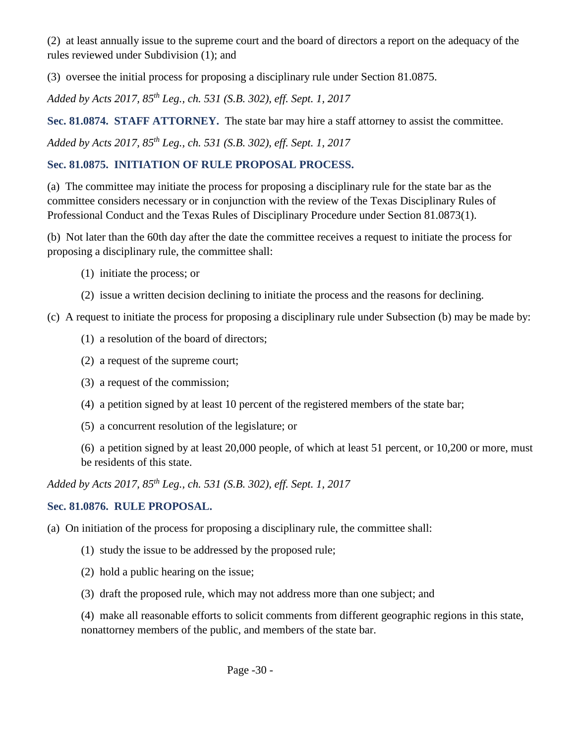(2) at least annually issue to the supreme court and the board of directors a report on the adequacy of the rules reviewed under Subdivision (1); and

(3) oversee the initial process for proposing a disciplinary rule under Section 81.0875.

*Added by Acts 2017, 85th Leg., ch. 531 (S.B. 302), eff. Sept. 1, 2017*

**Sec. 81.0874. STAFF ATTORNEY.** The state bar may hire a staff attorney to assist the committee. *Added by Acts 2017, 85th Leg., ch. 531 (S.B. 302), eff. Sept. 1, 2017*

## **Sec. 81.0875. INITIATION OF RULE PROPOSAL PROCESS.**

(a) The committee may initiate the process for proposing a disciplinary rule for the state bar as the committee considers necessary or in conjunction with the review of the Texas Disciplinary Rules of Professional Conduct and the Texas Rules of Disciplinary Procedure under Section 81.0873(1).

(b) Not later than the 60th day after the date the committee receives a request to initiate the process for proposing a disciplinary rule, the committee shall:

- (1) initiate the process; or
- (2) issue a written decision declining to initiate the process and the reasons for declining.

(c) A request to initiate the process for proposing a disciplinary rule under Subsection (b) may be made by:

- (1) a resolution of the board of directors;
- (2) a request of the supreme court;
- (3) a request of the commission;
- (4) a petition signed by at least 10 percent of the registered members of the state bar;
- (5) a concurrent resolution of the legislature; or

(6) a petition signed by at least 20,000 people, of which at least 51 percent, or 10,200 or more, must be residents of this state.

*Added by Acts 2017, 85th Leg., ch. 531 (S.B. 302), eff. Sept. 1, 2017*

# **Sec. 81.0876. RULE PROPOSAL.**

(a) On initiation of the process for proposing a disciplinary rule, the committee shall:

- (1) study the issue to be addressed by the proposed rule;
- (2) hold a public hearing on the issue;
- (3) draft the proposed rule, which may not address more than one subject; and

(4) make all reasonable efforts to solicit comments from different geographic regions in this state, nonattorney members of the public, and members of the state bar.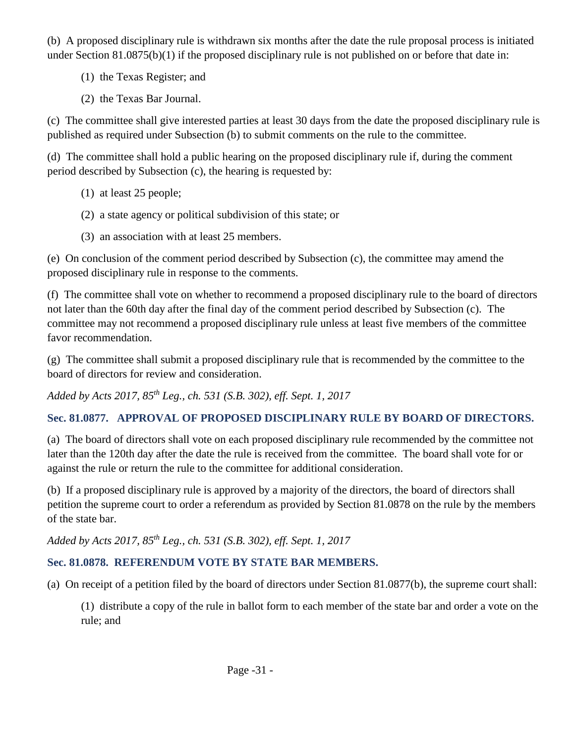(b) A proposed disciplinary rule is withdrawn six months after the date the rule proposal process is initiated under Section 81.0875(b)(1) if the proposed disciplinary rule is not published on or before that date in:

- (1) the Texas Register; and
- (2) the Texas Bar Journal.

(c) The committee shall give interested parties at least 30 days from the date the proposed disciplinary rule is published as required under Subsection (b) to submit comments on the rule to the committee.

(d) The committee shall hold a public hearing on the proposed disciplinary rule if, during the comment period described by Subsection (c), the hearing is requested by:

- (1) at least 25 people;
- (2) a state agency or political subdivision of this state; or
- (3) an association with at least 25 members.

(e) On conclusion of the comment period described by Subsection (c), the committee may amend the proposed disciplinary rule in response to the comments.

(f) The committee shall vote on whether to recommend a proposed disciplinary rule to the board of directors not later than the 60th day after the final day of the comment period described by Subsection (c). The committee may not recommend a proposed disciplinary rule unless at least five members of the committee favor recommendation.

(g) The committee shall submit a proposed disciplinary rule that is recommended by the committee to the board of directors for review and consideration.

*Added by Acts 2017, 85th Leg., ch. 531 (S.B. 302), eff. Sept. 1, 2017*

# **Sec. 81.0877. APPROVAL OF PROPOSED DISCIPLINARY RULE BY BOARD OF DIRECTORS.**

(a) The board of directors shall vote on each proposed disciplinary rule recommended by the committee not later than the 120th day after the date the rule is received from the committee. The board shall vote for or against the rule or return the rule to the committee for additional consideration.

(b) If a proposed disciplinary rule is approved by a majority of the directors, the board of directors shall petition the supreme court to order a referendum as provided by Section 81.0878 on the rule by the members of the state bar.

*Added by Acts 2017, 85th Leg., ch. 531 (S.B. 302), eff. Sept. 1, 2017*

# **Sec. 81.0878. REFERENDUM VOTE BY STATE BAR MEMBERS.**

(a) On receipt of a petition filed by the board of directors under Section 81.0877(b), the supreme court shall:

(1) distribute a copy of the rule in ballot form to each member of the state bar and order a vote on the rule; and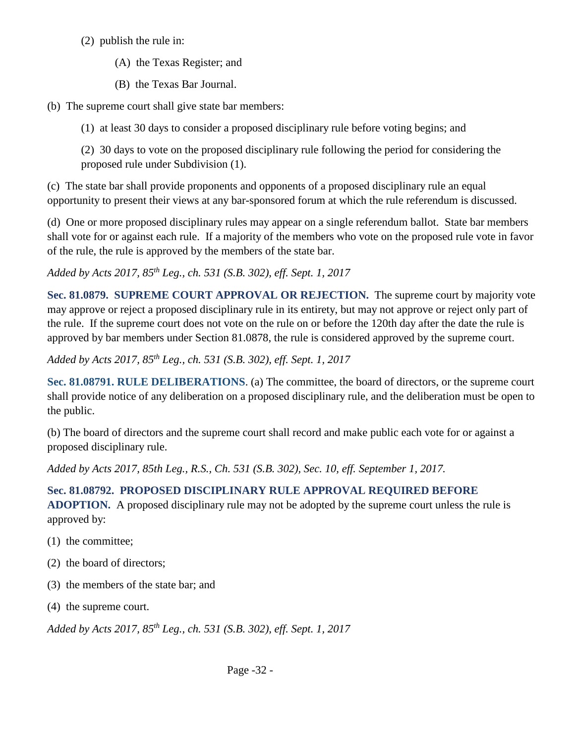- (2) publish the rule in:
	- (A) the Texas Register; and
	- (B) the Texas Bar Journal.
- (b) The supreme court shall give state bar members:
	- (1) at least 30 days to consider a proposed disciplinary rule before voting begins; and

(2) 30 days to vote on the proposed disciplinary rule following the period for considering the proposed rule under Subdivision (1).

(c) The state bar shall provide proponents and opponents of a proposed disciplinary rule an equal opportunity to present their views at any bar-sponsored forum at which the rule referendum is discussed.

(d) One or more proposed disciplinary rules may appear on a single referendum ballot. State bar members shall vote for or against each rule. If a majority of the members who vote on the proposed rule vote in favor of the rule, the rule is approved by the members of the state bar.

*Added by Acts 2017, 85th Leg., ch. 531 (S.B. 302), eff. Sept. 1, 2017*

**Sec. 81.0879. SUPREME COURT APPROVAL OR REJECTION.** The supreme court by majority vote may approve or reject a proposed disciplinary rule in its entirety, but may not approve or reject only part of the rule. If the supreme court does not vote on the rule on or before the 120th day after the date the rule is approved by bar members under Section 81.0878, the rule is considered approved by the supreme court.

*Added by Acts 2017, 85th Leg., ch. 531 (S.B. 302), eff. Sept. 1, 2017* 

**Sec. 81.08791. RULE DELIBERATIONS**. (a) The committee, the board of directors, or the supreme court shall provide notice of any deliberation on a proposed disciplinary rule, and the deliberation must be open to the public.

(b) The board of directors and the supreme court shall record and make public each vote for or against a proposed disciplinary rule.

*Added by Acts 2017, 85th Leg., R.S., Ch. 531 (S.B. 302), Sec. 10, eff. September 1, 2017.* 

## **Sec. 81.08792. PROPOSED DISCIPLINARY RULE APPROVAL REQUIRED BEFORE**

**ADOPTION.** A proposed disciplinary rule may not be adopted by the supreme court unless the rule is approved by:

- (1) the committee;
- (2) the board of directors;
- (3) the members of the state bar; and
- (4) the supreme court.

*Added by Acts 2017, 85th Leg., ch. 531 (S.B. 302), eff. Sept. 1, 2017*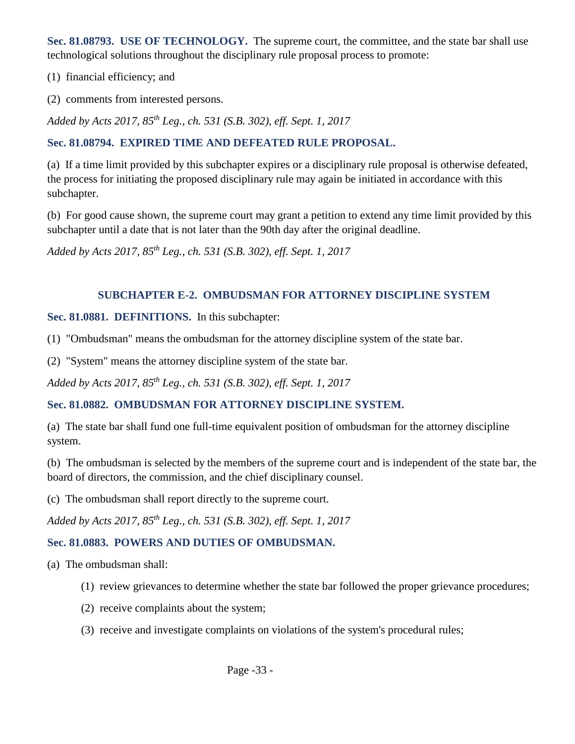**Sec. 81.08793. USE OF TECHNOLOGY.** The supreme court, the committee, and the state bar shall use technological solutions throughout the disciplinary rule proposal process to promote:

(1) financial efficiency; and

(2) comments from interested persons.

*Added by Acts 2017, 85th Leg., ch. 531 (S.B. 302), eff. Sept. 1, 2017*

#### **Sec. 81.08794. EXPIRED TIME AND DEFEATED RULE PROPOSAL.**

(a) If a time limit provided by this subchapter expires or a disciplinary rule proposal is otherwise defeated, the process for initiating the proposed disciplinary rule may again be initiated in accordance with this subchapter.

(b) For good cause shown, the supreme court may grant a petition to extend any time limit provided by this subchapter until a date that is not later than the 90th day after the original deadline.

*Added by Acts 2017, 85th Leg., ch. 531 (S.B. 302), eff. Sept. 1, 2017* 

#### **SUBCHAPTER E-2. OMBUDSMAN FOR ATTORNEY DISCIPLINE SYSTEM**

#### **Sec. 81.0881. DEFINITIONS.** In this subchapter:

(1) "Ombudsman" means the ombudsman for the attorney discipline system of the state bar.

(2) "System" means the attorney discipline system of the state bar.

*Added by Acts 2017, 85th Leg., ch. 531 (S.B. 302), eff. Sept. 1, 2017*

## **Sec. 81.0882. OMBUDSMAN FOR ATTORNEY DISCIPLINE SYSTEM.**

(a) The state bar shall fund one full-time equivalent position of ombudsman for the attorney discipline system.

(b) The ombudsman is selected by the members of the supreme court and is independent of the state bar, the board of directors, the commission, and the chief disciplinary counsel.

(c) The ombudsman shall report directly to the supreme court.

*Added by Acts 2017, 85th Leg., ch. 531 (S.B. 302), eff. Sept. 1, 2017*

#### **Sec. 81.0883. POWERS AND DUTIES OF OMBUDSMAN.**

(a) The ombudsman shall:

- (1) review grievances to determine whether the state bar followed the proper grievance procedures;
- (2) receive complaints about the system;
- (3) receive and investigate complaints on violations of the system's procedural rules;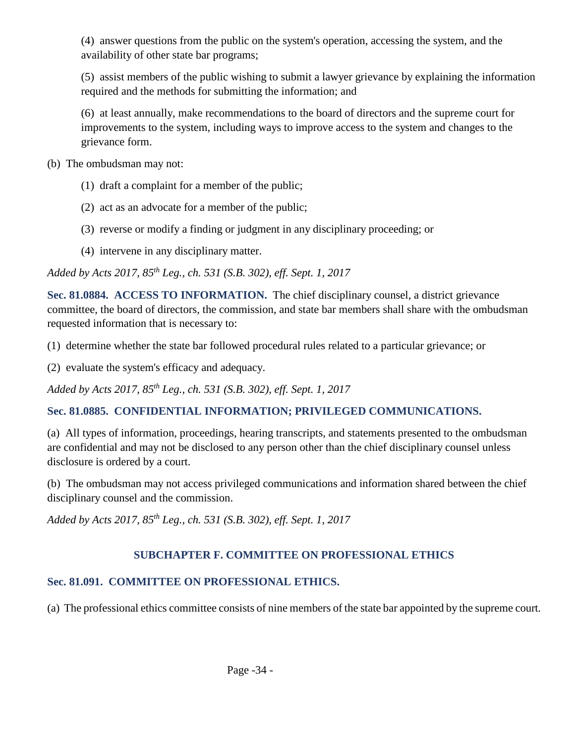(4) answer questions from the public on the system's operation, accessing the system, and the availability of other state bar programs;

(5) assist members of the public wishing to submit a lawyer grievance by explaining the information required and the methods for submitting the information; and

(6) at least annually, make recommendations to the board of directors and the supreme court for improvements to the system, including ways to improve access to the system and changes to the grievance form.

(b) The ombudsman may not:

- (1) draft a complaint for a member of the public;
- (2) act as an advocate for a member of the public;
- (3) reverse or modify a finding or judgment in any disciplinary proceeding; or
- (4) intervene in any disciplinary matter.

*Added by Acts 2017, 85th Leg., ch. 531 (S.B. 302), eff. Sept. 1, 2017*

**Sec. 81.0884. ACCESS TO INFORMATION.** The chief disciplinary counsel, a district grievance committee, the board of directors, the commission, and state bar members shall share with the ombudsman requested information that is necessary to:

- (1) determine whether the state bar followed procedural rules related to a particular grievance; or
- (2) evaluate the system's efficacy and adequacy.

*Added by Acts 2017, 85th Leg., ch. 531 (S.B. 302), eff. Sept. 1, 2017*

## **Sec. 81.0885. CONFIDENTIAL INFORMATION; PRIVILEGED COMMUNICATIONS.**

(a) All types of information, proceedings, hearing transcripts, and statements presented to the ombudsman are confidential and may not be disclosed to any person other than the chief disciplinary counsel unless disclosure is ordered by a court.

(b) The ombudsman may not access privileged communications and information shared between the chief disciplinary counsel and the commission.

*Added by Acts 2017, 85th Leg., ch. 531 (S.B. 302), eff. Sept. 1, 2017*

# **SUBCHAPTER F. COMMITTEE ON PROFESSIONAL ETHICS**

# **Sec. 81.091. COMMITTEE ON PROFESSIONAL ETHICS.**

(a) The professional ethics committee consists of nine members of the state bar appointed by the supreme court.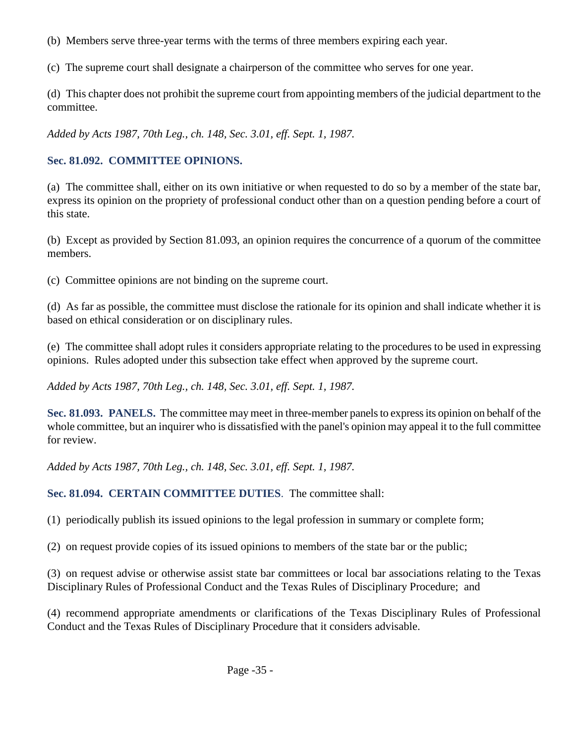- (b) Members serve three-year terms with the terms of three members expiring each year.
- (c) The supreme court shall designate a chairperson of the committee who serves for one year.

(d) This chapter does not prohibit the supreme court from appointing members of the judicial department to the committee.

*Added by Acts 1987, 70th Leg., ch. 148, Sec. 3.01, eff. Sept. 1, 1987.* 

#### **Sec. 81.092. COMMITTEE OPINIONS.**

(a) The committee shall, either on its own initiative or when requested to do so by a member of the state bar, express its opinion on the propriety of professional conduct other than on a question pending before a court of this state.

(b) Except as provided by Section 81.093, an opinion requires the concurrence of a quorum of the committee members.

(c) Committee opinions are not binding on the supreme court.

(d) As far as possible, the committee must disclose the rationale for its opinion and shall indicate whether it is based on ethical consideration or on disciplinary rules.

(e) The committee shall adopt rules it considers appropriate relating to the procedures to be used in expressing opinions. Rules adopted under this subsection take effect when approved by the supreme court.

*Added by Acts 1987, 70th Leg., ch. 148, Sec. 3.01, eff. Sept. 1, 1987.* 

**Sec. 81.093. PANELS.** The committee may meet in three-member panels to express its opinion on behalf of the whole committee, but an inquirer who is dissatisfied with the panel's opinion may appeal it to the full committee for review.

*Added by Acts 1987, 70th Leg., ch. 148, Sec. 3.01, eff. Sept. 1, 1987.* 

**Sec. 81.094. CERTAIN COMMITTEE DUTIES**. The committee shall:

(1) periodically publish its issued opinions to the legal profession in summary or complete form;

(2) on request provide copies of its issued opinions to members of the state bar or the public;

(3) on request advise or otherwise assist state bar committees or local bar associations relating to the Texas Disciplinary Rules of Professional Conduct and the Texas Rules of Disciplinary Procedure; and

(4) recommend appropriate amendments or clarifications of the Texas Disciplinary Rules of Professional Conduct and the Texas Rules of Disciplinary Procedure that it considers advisable.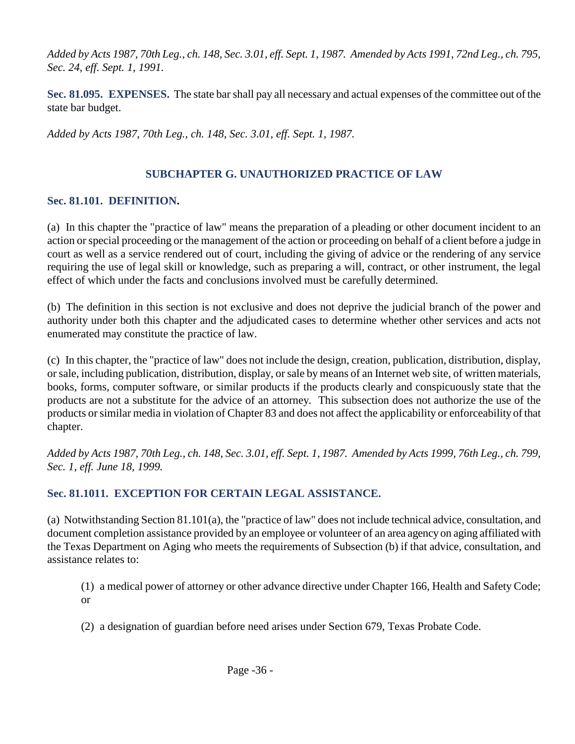*Added by Acts 1987, 70th Leg., ch. 148, Sec. 3.01, eff. Sept. 1, 1987. Amended by Acts 1991, 72nd Leg., ch. 795, Sec. 24, eff. Sept. 1, 1991.* 

**Sec. 81.095. EXPENSES.** The state bar shall pay all necessary and actual expenses of the committee out of the state bar budget.

*Added by Acts 1987, 70th Leg., ch. 148, Sec. 3.01, eff. Sept. 1, 1987.* 

### **SUBCHAPTER G. UNAUTHORIZED PRACTICE OF LAW**

#### **Sec. 81.101. DEFINITION.**

(a) In this chapter the "practice of law" means the preparation of a pleading or other document incident to an action or special proceeding or the management of the action or proceeding on behalf of a client before a judge in court as well as a service rendered out of court, including the giving of advice or the rendering of any service requiring the use of legal skill or knowledge, such as preparing a will, contract, or other instrument, the legal effect of which under the facts and conclusions involved must be carefully determined.

(b) The definition in this section is not exclusive and does not deprive the judicial branch of the power and authority under both this chapter and the adjudicated cases to determine whether other services and acts not enumerated may constitute the practice of law.

(c) In this chapter, the "practice of law" does not include the design, creation, publication, distribution, display, or sale, including publication, distribution, display, or sale by means of an Internet web site, of written materials, books, forms, computer software, or similar products if the products clearly and conspicuously state that the products are not a substitute for the advice of an attorney. This subsection does not authorize the use of the products or similar media in violation of Chapter 83 and does not affect the applicability or enforceability of that chapter.

*Added by Acts 1987, 70th Leg., ch. 148, Sec. 3.01, eff. Sept. 1, 1987. Amended by Acts 1999, 76th Leg., ch. 799, Sec. 1, eff. June 18, 1999.* 

#### **Sec. 81.1011. EXCEPTION FOR CERTAIN LEGAL ASSISTANCE.**

(a) Notwithstanding Section 81.101(a), the "practice of law" does not include technical advice, consultation, and document completion assistance provided by an employee or volunteer of an area agency on aging affiliated with the Texas Department on Aging who meets the requirements of Subsection (b) if that advice, consultation, and assistance relates to:

(1) a medical power of attorney or other advance directive under Chapter 166, Health and Safety Code; or

(2) a designation of guardian before need arises under Section 679, Texas Probate Code.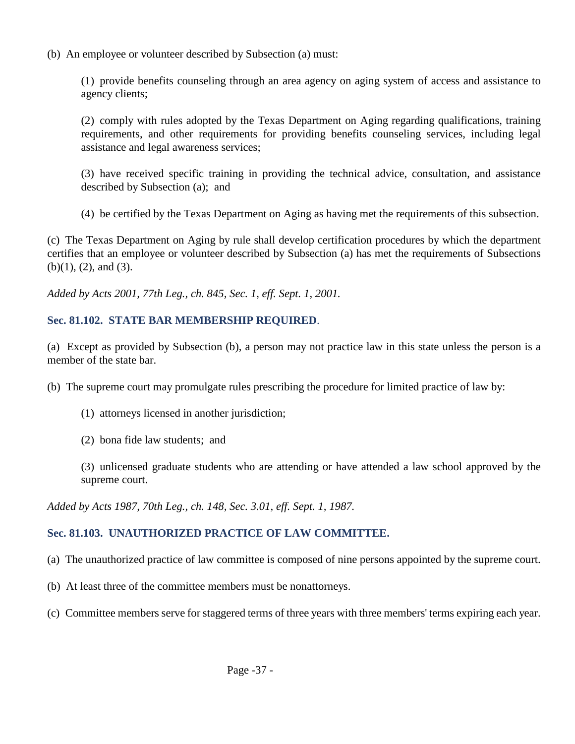(b) An employee or volunteer described by Subsection (a) must:

(1) provide benefits counseling through an area agency on aging system of access and assistance to agency clients;

(2) comply with rules adopted by the Texas Department on Aging regarding qualifications, training requirements, and other requirements for providing benefits counseling services, including legal assistance and legal awareness services;

(3) have received specific training in providing the technical advice, consultation, and assistance described by Subsection (a); and

(4) be certified by the Texas Department on Aging as having met the requirements of this subsection.

(c) The Texas Department on Aging by rule shall develop certification procedures by which the department certifies that an employee or volunteer described by Subsection (a) has met the requirements of Subsections (b)(1), (2), and (3).

*Added by Acts 2001, 77th Leg., ch. 845, Sec. 1, eff. Sept. 1, 2001.* 

## **Sec. 81.102. STATE BAR MEMBERSHIP REQUIRED**.

(a) Except as provided by Subsection (b), a person may not practice law in this state unless the person is a member of the state bar.

(b) The supreme court may promulgate rules prescribing the procedure for limited practice of law by:

- (1) attorneys licensed in another jurisdiction;
- (2) bona fide law students; and

(3) unlicensed graduate students who are attending or have attended a law school approved by the supreme court.

*Added by Acts 1987, 70th Leg., ch. 148, Sec. 3.01, eff. Sept. 1, 1987.* 

# **Sec. 81.103. UNAUTHORIZED PRACTICE OF LAW COMMITTEE.**

- (a) The unauthorized practice of law committee is composed of nine persons appointed by the supreme court.
- (b) At least three of the committee members must be nonattorneys.
- (c) Committee members serve for staggered terms of three years with three members' terms expiring each year.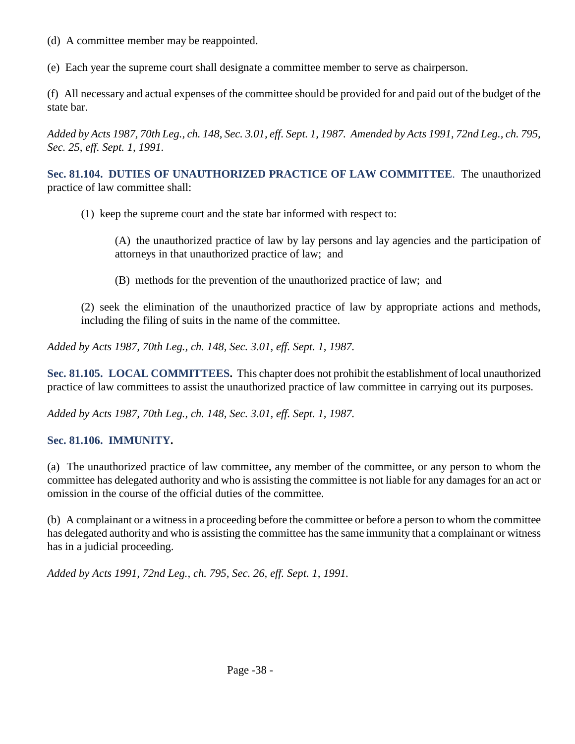- (d) A committee member may be reappointed.
- (e) Each year the supreme court shall designate a committee member to serve as chairperson.

(f) All necessary and actual expenses of the committee should be provided for and paid out of the budget of the state bar.

*Added by Acts 1987, 70th Leg., ch. 148, Sec. 3.01, eff. Sept. 1, 1987. Amended by Acts 1991, 72nd Leg., ch. 795, Sec. 25, eff. Sept. 1, 1991.* 

**Sec. 81.104. DUTIES OF UNAUTHORIZED PRACTICE OF LAW COMMITTEE**. The unauthorized practice of law committee shall:

(1) keep the supreme court and the state bar informed with respect to:

(A) the unauthorized practice of law by lay persons and lay agencies and the participation of attorneys in that unauthorized practice of law; and

(B) methods for the prevention of the unauthorized practice of law; and

(2) seek the elimination of the unauthorized practice of law by appropriate actions and methods, including the filing of suits in the name of the committee.

*Added by Acts 1987, 70th Leg., ch. 148, Sec. 3.01, eff. Sept. 1, 1987.* 

**Sec. 81.105. LOCAL COMMITTEES.** This chapter does not prohibit the establishment of local unauthorized practice of law committees to assist the unauthorized practice of law committee in carrying out its purposes.

*Added by Acts 1987, 70th Leg., ch. 148, Sec. 3.01, eff. Sept. 1, 1987.* 

## **Sec. 81.106. IMMUNITY.**

(a) The unauthorized practice of law committee, any member of the committee, or any person to whom the committee has delegated authority and who is assisting the committee is not liable for any damages for an act or omission in the course of the official duties of the committee.

(b) A complainant or a witness in a proceeding before the committee or before a person to whom the committee has delegated authority and who is assisting the committee has the same immunity that a complainant or witness has in a judicial proceeding.

*Added by Acts 1991, 72nd Leg., ch. 795, Sec. 26, eff. Sept. 1, 1991.*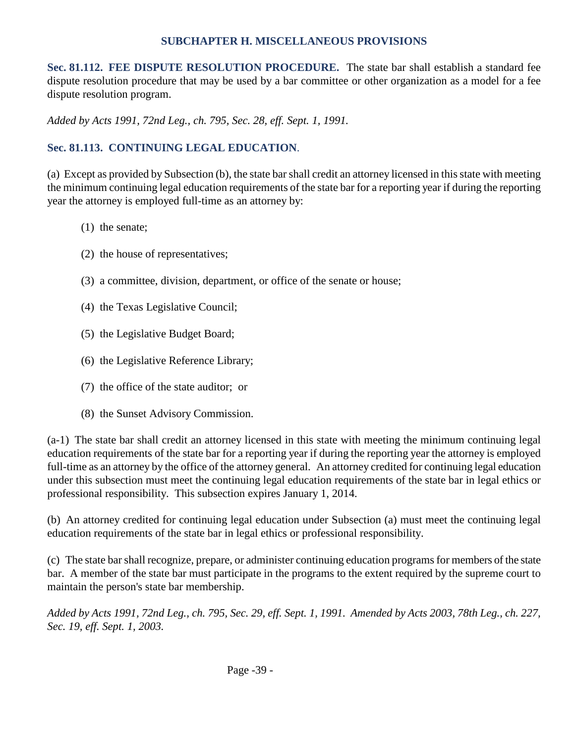#### **SUBCHAPTER H. MISCELLANEOUS PROVISIONS**

**Sec. 81.112. FEE DISPUTE RESOLUTION PROCEDURE.** The state bar shall establish a standard fee dispute resolution procedure that may be used by a bar committee or other organization as a model for a fee dispute resolution program.

*Added by Acts 1991, 72nd Leg., ch. 795, Sec. 28, eff. Sept. 1, 1991.* 

## **Sec. 81.113. CONTINUING LEGAL EDUCATION**.

(a) Except as provided by Subsection (b), the state bar shall credit an attorney licensed in this state with meeting the minimum continuing legal education requirements of the state bar for a reporting year if during the reporting year the attorney is employed full-time as an attorney by:

- (1) the senate;
- (2) the house of representatives;
- (3) a committee, division, department, or office of the senate or house;
- (4) the Texas Legislative Council;
- (5) the Legislative Budget Board;
- (6) the Legislative Reference Library;
- (7) the office of the state auditor; or
- (8) the Sunset Advisory Commission.

(a-1) The state bar shall credit an attorney licensed in this state with meeting the minimum continuing legal education requirements of the state bar for a reporting year if during the reporting year the attorney is employed full-time as an attorney by the office of the attorney general. An attorney credited for continuing legal education under this subsection must meet the continuing legal education requirements of the state bar in legal ethics or professional responsibility. This subsection expires January 1, 2014.

(b) An attorney credited for continuing legal education under Subsection (a) must meet the continuing legal education requirements of the state bar in legal ethics or professional responsibility.

(c) The state bar shall recognize, prepare, or administer continuing education programs for members of the state bar. A member of the state bar must participate in the programs to the extent required by the supreme court to maintain the person's state bar membership.

*Added by Acts 1991, 72nd Leg., ch. 795, Sec. 29, eff. Sept. 1, 1991. Amended by Acts 2003, 78th Leg., ch. 227, Sec. 19, eff. Sept. 1, 2003.*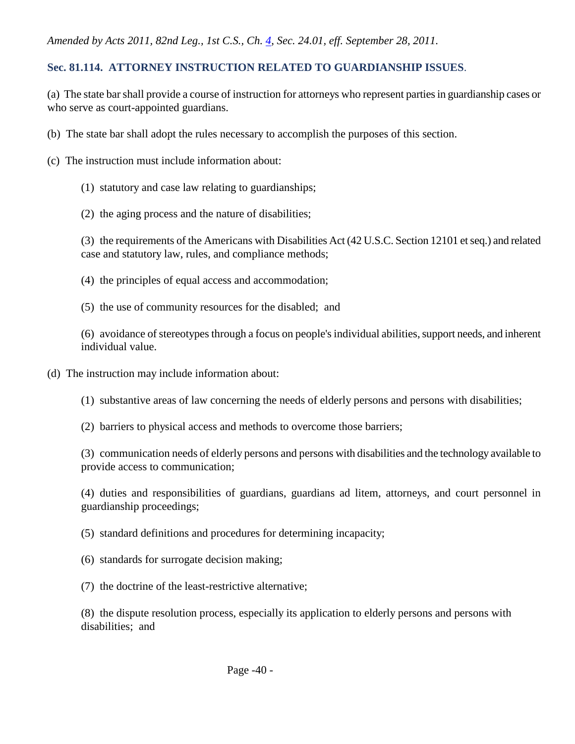#### **Sec. 81.114. ATTORNEY INSTRUCTION RELATED TO GUARDIANSHIP ISSUES**.

(a) The state bar shall provide a course of instruction for attorneys who represent parties in guardianship cases or who serve as court-appointed guardians.

- (b) The state bar shall adopt the rules necessary to accomplish the purposes of this section.
- (c) The instruction must include information about:
	- (1) statutory and case law relating to guardianships;
	- (2) the aging process and the nature of disabilities;

(3) the requirements of the Americans with Disabilities Act (42 U.S.C. Section 12101 et seq.) and related case and statutory law, rules, and compliance methods;

- (4) the principles of equal access and accommodation;
- (5) the use of community resources for the disabled; and

(6) avoidance of stereotypes through a focus on people's individual abilities, support needs, and inherent individual value.

- (d) The instruction may include information about:
	- (1) substantive areas of law concerning the needs of elderly persons and persons with disabilities;
	- (2) barriers to physical access and methods to overcome those barriers;

(3) communication needs of elderly persons and persons with disabilities and the technology available to provide access to communication;

(4) duties and responsibilities of guardians, guardians ad litem, attorneys, and court personnel in guardianship proceedings;

- (5) standard definitions and procedures for determining incapacity;
- (6) standards for surrogate decision making;
- (7) the doctrine of the least-restrictive alternative;

(8) the dispute resolution process, especially its application to elderly persons and persons with disabilities; and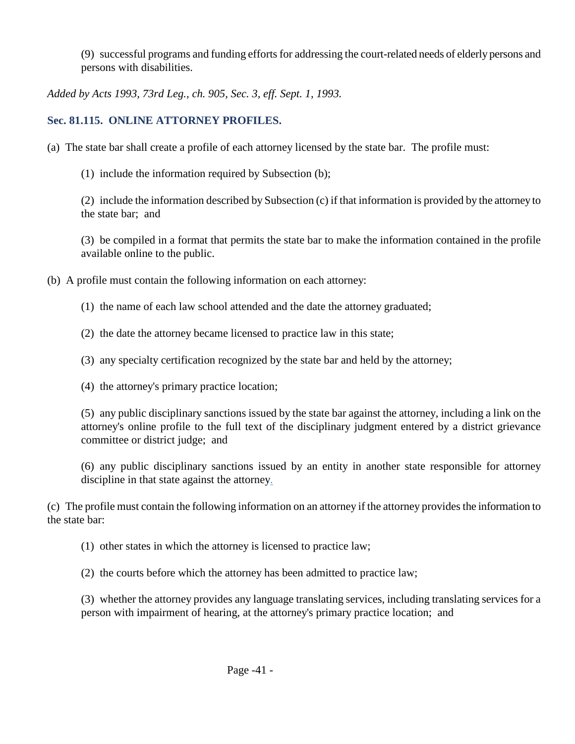(9) successful programs and funding efforts for addressing the court-related needs of elderly persons and persons with disabilities.

*Added by Acts 1993, 73rd Leg., ch. 905, Sec. 3, eff. Sept. 1, 1993.* 

## **Sec. 81.115. ONLINE ATTORNEY PROFILES.**

(a) The state bar shall create a profile of each attorney licensed by the state bar. The profile must:

(1) include the information required by Subsection (b);

(2) include the information described by Subsection (c) if that information is provided by the attorney to the state bar; and

(3) be compiled in a format that permits the state bar to make the information contained in the profile available online to the public.

- (b) A profile must contain the following information on each attorney:
	- (1) the name of each law school attended and the date the attorney graduated;
	- (2) the date the attorney became licensed to practice law in this state;
	- (3) any specialty certification recognized by the state bar and held by the attorney;
	- (4) the attorney's primary practice location;

(5) any public disciplinary sanctions issued by the state bar against the attorney, including a link on the attorney's online profile to the full text of the disciplinary judgment entered by a district grievance committee or district judge; and

(6) any public disciplinary sanctions issued by an entity in another state responsible for attorney discipline in that state against the attorney.

(c) The profile must contain the following information on an attorney if the attorney provides the information to the state bar:

- (1) other states in which the attorney is licensed to practice law;
- (2) the courts before which the attorney has been admitted to practice law;

(3) whether the attorney provides any language translating services, including translating services for a person with impairment of hearing, at the attorney's primary practice location; and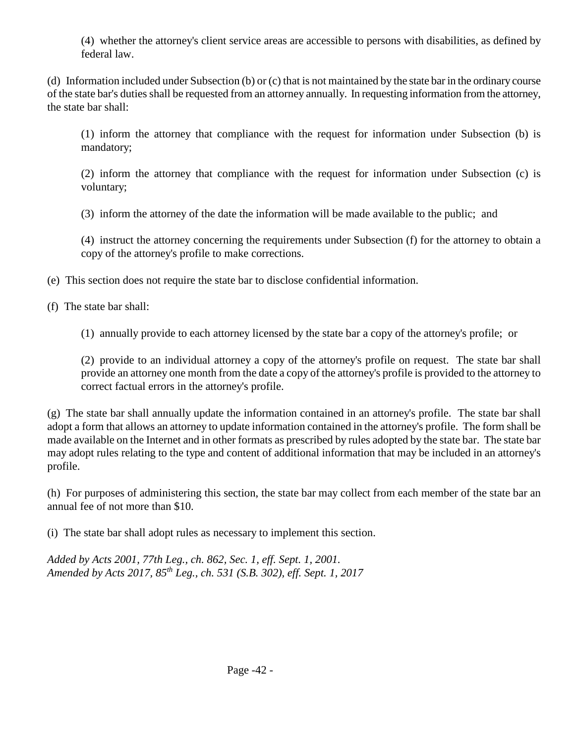(4) whether the attorney's client service areas are accessible to persons with disabilities, as defined by federal law.

(d) Information included under Subsection (b) or (c) that is not maintained by the state bar in the ordinary course of the state bar's duties shall be requested from an attorney annually. In requesting information from the attorney, the state bar shall:

(1) inform the attorney that compliance with the request for information under Subsection (b) is mandatory;

(2) inform the attorney that compliance with the request for information under Subsection (c) is voluntary;

(3) inform the attorney of the date the information will be made available to the public; and

(4) instruct the attorney concerning the requirements under Subsection (f) for the attorney to obtain a copy of the attorney's profile to make corrections.

(e) This section does not require the state bar to disclose confidential information.

(f) The state bar shall:

(1) annually provide to each attorney licensed by the state bar a copy of the attorney's profile; or

(2) provide to an individual attorney a copy of the attorney's profile on request. The state bar shall provide an attorney one month from the date a copy of the attorney's profile is provided to the attorney to correct factual errors in the attorney's profile.

(g) The state bar shall annually update the information contained in an attorney's profile. The state bar shall adopt a form that allows an attorney to update information contained in the attorney's profile. The form shall be made available on the Internet and in other formats as prescribed by rules adopted by the state bar. The state bar may adopt rules relating to the type and content of additional information that may be included in an attorney's profile.

(h) For purposes of administering this section, the state bar may collect from each member of the state bar an annual fee of not more than \$10.

(i) The state bar shall adopt rules as necessary to implement this section.

*Added by Acts 2001, 77th Leg., ch. 862, Sec. 1, eff. Sept. 1, 2001. Amended by Acts 2017, 85th Leg., ch. 531 (S.B. 302), eff. Sept. 1, 2017*